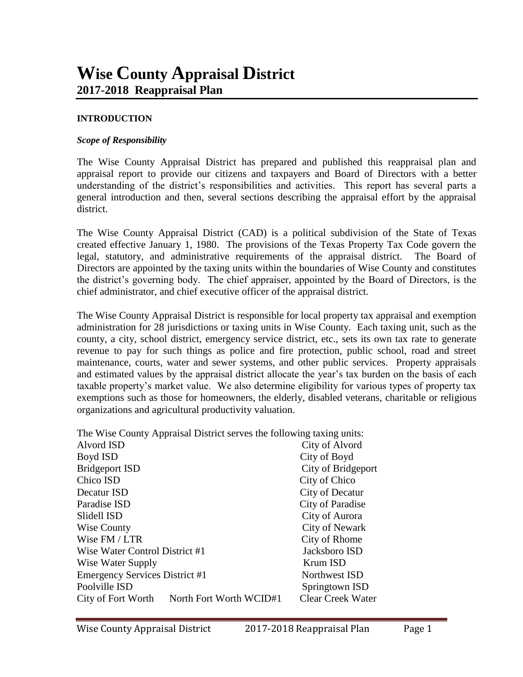#### **INTRODUCTION**

#### *Scope of Responsibility*

The Wise County Appraisal District has prepared and published this reappraisal plan and appraisal report to provide our citizens and taxpayers and Board of Directors with a better understanding of the district's responsibilities and activities. This report has several parts a general introduction and then, several sections describing the appraisal effort by the appraisal district.

The Wise County Appraisal District (CAD) is a political subdivision of the State of Texas created effective January 1, 1980. The provisions of the Texas Property Tax Code govern the legal, statutory, and administrative requirements of the appraisal district. The Board of Directors are appointed by the taxing units within the boundaries of Wise County and constitutes the district's governing body. The chief appraiser, appointed by the Board of Directors, is the chief administrator, and chief executive officer of the appraisal district.

The Wise County Appraisal District is responsible for local property tax appraisal and exemption administration for 28 jurisdictions or taxing units in Wise County. Each taxing unit, such as the county, a city, school district, emergency service district, etc., sets its own tax rate to generate revenue to pay for such things as police and fire protection, public school, road and street maintenance, courts, water and sewer systems, and other public services. Property appraisals and estimated values by the appraisal district allocate the year's tax burden on the basis of each taxable property's market value. We also determine eligibility for various types of property tax exemptions such as those for homeowners, the elderly, disabled veterans, charitable or religious organizations and agricultural productivity valuation.

|  | The Wise County Appraisal District serves the following taxing units: |  |  |  |
|--|-----------------------------------------------------------------------|--|--|--|
|  |                                                                       |  |  |  |

| Alvord ISD                                    | City of Alvord           |  |
|-----------------------------------------------|--------------------------|--|
| Boyd ISD                                      | City of Boyd             |  |
| <b>Bridgeport ISD</b>                         | City of Bridgeport       |  |
| Chico ISD                                     | City of Chico            |  |
| Decatur ISD                                   | City of Decatur          |  |
| Paradise ISD                                  | City of Paradise         |  |
| Slidell ISD                                   | City of Aurora           |  |
| Wise County                                   | City of Newark           |  |
| Wise FM / LTR                                 | City of Rhome            |  |
| Wise Water Control District #1                | Jacksboro ISD            |  |
| Wise Water Supply                             | Krum ISD                 |  |
| <b>Emergency Services District #1</b>         | Northwest ISD            |  |
| Poolville ISD                                 | Springtown ISD           |  |
| North Fort Worth WCID#1<br>City of Fort Worth | <b>Clear Creek Water</b> |  |
|                                               |                          |  |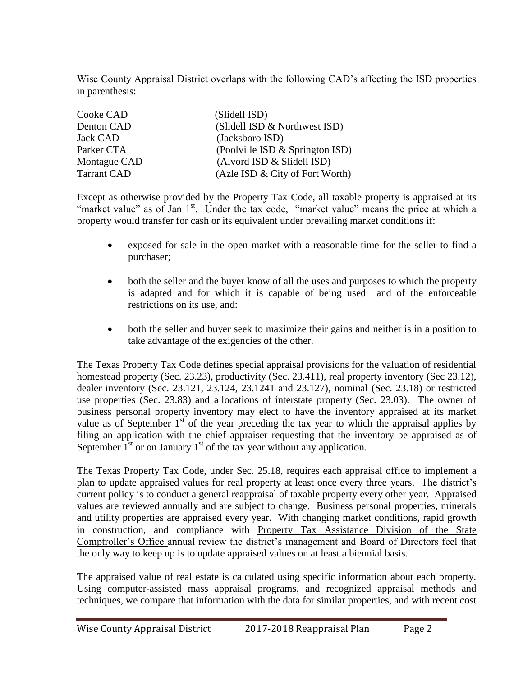Wise County Appraisal District overlaps with the following CAD's affecting the ISD properties in parenthesis:

| Cooke CAD          | (Slidell ISD)                   |
|--------------------|---------------------------------|
| Denton CAD         | (Slidell ISD & Northwest ISD)   |
| <b>Jack CAD</b>    | (Jacksboro ISD)                 |
| Parker CTA         | (Poolville ISD & Springton ISD) |
| Montague CAD       | (Alvord ISD & Slidell ISD)      |
| <b>Tarrant CAD</b> | (Azle ISD & City of Fort Worth) |

Except as otherwise provided by the Property Tax Code, all taxable property is appraised at its "market value" as of Jan 1<sup>st</sup>. Under the tax code, "market value" means the price at which a property would transfer for cash or its equivalent under prevailing market conditions if:

- exposed for sale in the open market with a reasonable time for the seller to find a purchaser;
- both the seller and the buyer know of all the uses and purposes to which the property is adapted and for which it is capable of being used and of the enforceable restrictions on its use, and:
- both the seller and buyer seek to maximize their gains and neither is in a position to take advantage of the exigencies of the other.

The Texas Property Tax Code defines special appraisal provisions for the valuation of residential homestead property (Sec. 23.23), productivity (Sec. 23.411), real property inventory (Sec 23.12), dealer inventory (Sec. 23.121, 23.124, 23.1241 and 23.127), nominal (Sec. 23.18) or restricted use properties (Sec. 23.83) and allocations of interstate property (Sec. 23.03). The owner of business personal property inventory may elect to have the inventory appraised at its market value as of September  $1<sup>st</sup>$  of the year preceding the tax year to which the appraisal applies by filing an application with the chief appraiser requesting that the inventory be appraised as of September  $1<sup>st</sup>$  or on January  $1<sup>st</sup>$  of the tax year without any application.

The Texas Property Tax Code, under Sec. 25.18, requires each appraisal office to implement a plan to update appraised values for real property at least once every three years. The district's current policy is to conduct a general reappraisal of taxable property every other year. Appraised values are reviewed annually and are subject to change. Business personal properties, minerals and utility properties are appraised every year. With changing market conditions, rapid growth in construction, and compliance with Property Tax Assistance Division of the State Comptroller's Office annual review the district's management and Board of Directors feel that the only way to keep up is to update appraised values on at least a biennial basis.

The appraised value of real estate is calculated using specific information about each property. Using computer-assisted mass appraisal programs, and recognized appraisal methods and techniques, we compare that information with the data for similar properties, and with recent cost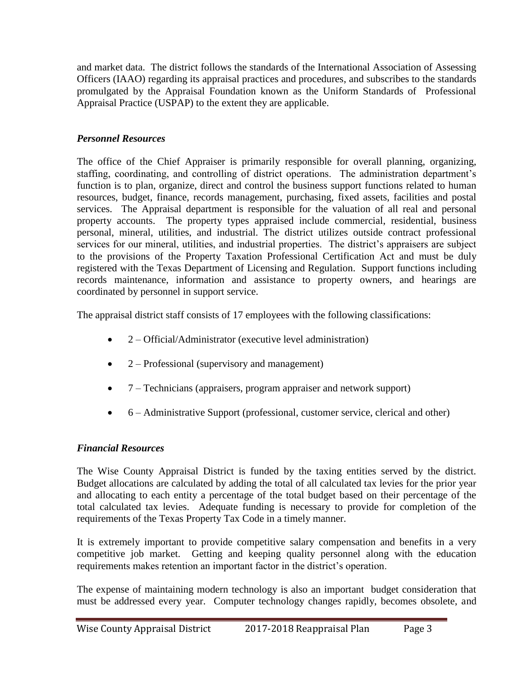and market data. The district follows the standards of the International Association of Assessing Officers (IAAO) regarding its appraisal practices and procedures, and subscribes to the standards promulgated by the Appraisal Foundation known as the Uniform Standards of Professional Appraisal Practice (USPAP) to the extent they are applicable.

# *Personnel Resources*

The office of the Chief Appraiser is primarily responsible for overall planning, organizing, staffing, coordinating, and controlling of district operations. The administration department's function is to plan, organize, direct and control the business support functions related to human resources, budget, finance, records management, purchasing, fixed assets, facilities and postal services. The Appraisal department is responsible for the valuation of all real and personal property accounts. The property types appraised include commercial, residential, business personal, mineral, utilities, and industrial. The district utilizes outside contract professional services for our mineral, utilities, and industrial properties. The district's appraisers are subject to the provisions of the Property Taxation Professional Certification Act and must be duly registered with the Texas Department of Licensing and Regulation. Support functions including records maintenance, information and assistance to property owners, and hearings are coordinated by personnel in support service.

The appraisal district staff consists of 17 employees with the following classifications:

- 2 Official/Administrator (executive level administration)
- 2 Professional (supervisory and management)
- 7 Technicians (appraisers, program appraiser and network support)
- 6 Administrative Support (professional, customer service, clerical and other)

# *Financial Resources*

The Wise County Appraisal District is funded by the taxing entities served by the district. Budget allocations are calculated by adding the total of all calculated tax levies for the prior year and allocating to each entity a percentage of the total budget based on their percentage of the total calculated tax levies. Adequate funding is necessary to provide for completion of the requirements of the Texas Property Tax Code in a timely manner.

It is extremely important to provide competitive salary compensation and benefits in a very competitive job market. Getting and keeping quality personnel along with the education requirements makes retention an important factor in the district's operation.

The expense of maintaining modern technology is also an important budget consideration that must be addressed every year. Computer technology changes rapidly, becomes obsolete, and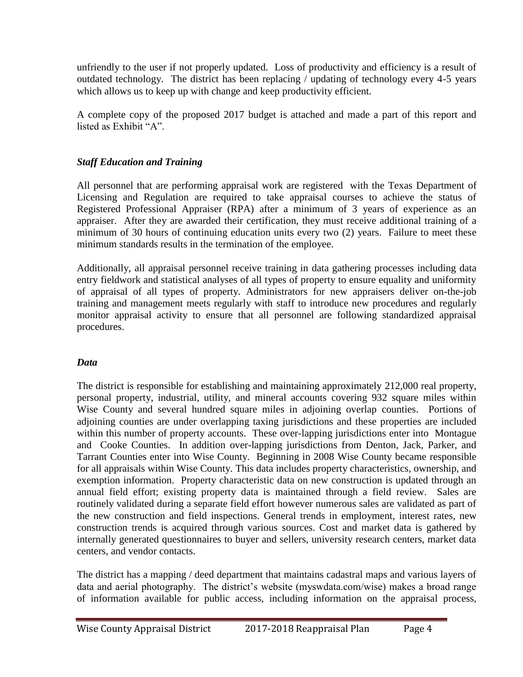unfriendly to the user if not properly updated. Loss of productivity and efficiency is a result of outdated technology. The district has been replacing / updating of technology every 4-5 years which allows us to keep up with change and keep productivity efficient.

A complete copy of the proposed 2017 budget is attached and made a part of this report and listed as Exhibit "A".

## *Staff Education and Training*

All personnel that are performing appraisal work are registered with the Texas Department of Licensing and Regulation are required to take appraisal courses to achieve the status of Registered Professional Appraiser (RPA) after a minimum of 3 years of experience as an appraiser. After they are awarded their certification, they must receive additional training of a minimum of 30 hours of continuing education units every two (2) years. Failure to meet these minimum standards results in the termination of the employee.

Additionally, all appraisal personnel receive training in data gathering processes including data entry fieldwork and statistical analyses of all types of property to ensure equality and uniformity of appraisal of all types of property. Administrators for new appraisers deliver on-the-job training and management meets regularly with staff to introduce new procedures and regularly monitor appraisal activity to ensure that all personnel are following standardized appraisal procedures.

### *Data*

The district is responsible for establishing and maintaining approximately 212,000 real property, personal property, industrial, utility, and mineral accounts covering 932 square miles within Wise County and several hundred square miles in adjoining overlap counties. Portions of adjoining counties are under overlapping taxing jurisdictions and these properties are included within this number of property accounts. These over-lapping jurisdictions enter into Montague and Cooke Counties. In addition over-lapping jurisdictions from Denton, Jack, Parker, and Tarrant Counties enter into Wise County. Beginning in 2008 Wise County became responsible for all appraisals within Wise County. This data includes property characteristics, ownership, and exemption information. Property characteristic data on new construction is updated through an annual field effort; existing property data is maintained through a field review. Sales are routinely validated during a separate field effort however numerous sales are validated as part of the new construction and field inspections. General trends in employment, interest rates, new construction trends is acquired through various sources. Cost and market data is gathered by internally generated questionnaires to buyer and sellers, university research centers, market data centers, and vendor contacts.

The district has a mapping / deed department that maintains cadastral maps and various layers of data and aerial photography. The district's website (myswdata.com/wise) makes a broad range of information available for public access, including information on the appraisal process,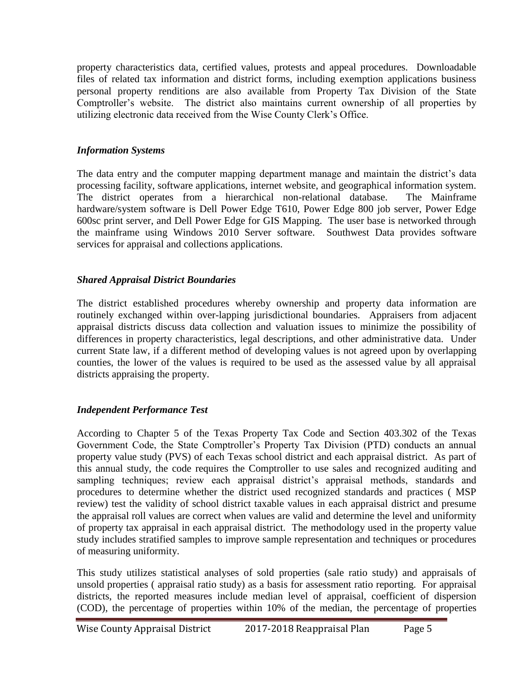property characteristics data, certified values, protests and appeal procedures. Downloadable files of related tax information and district forms, including exemption applications business personal property renditions are also available from Property Tax Division of the State Comptroller's website. The district also maintains current ownership of all properties by utilizing electronic data received from the Wise County Clerk's Office.

## *Information Systems*

The data entry and the computer mapping department manage and maintain the district's data processing facility, software applications, internet website, and geographical information system. The district operates from a hierarchical non-relational database. The Mainframe hardware/system software is Dell Power Edge T610, Power Edge 800 job server, Power Edge 600sc print server, and Dell Power Edge for GIS Mapping. The user base is networked through the mainframe using Windows 2010 Server software. Southwest Data provides software services for appraisal and collections applications.

# *Shared Appraisal District Boundaries*

The district established procedures whereby ownership and property data information are routinely exchanged within over-lapping jurisdictional boundaries. Appraisers from adjacent appraisal districts discuss data collection and valuation issues to minimize the possibility of differences in property characteristics, legal descriptions, and other administrative data. Under current State law, if a different method of developing values is not agreed upon by overlapping counties, the lower of the values is required to be used as the assessed value by all appraisal districts appraising the property.

# *Independent Performance Test*

According to Chapter 5 of the Texas Property Tax Code and Section 403.302 of the Texas Government Code, the State Comptroller's Property Tax Division (PTD) conducts an annual property value study (PVS) of each Texas school district and each appraisal district. As part of this annual study, the code requires the Comptroller to use sales and recognized auditing and sampling techniques; review each appraisal district's appraisal methods, standards and procedures to determine whether the district used recognized standards and practices ( MSP review) test the validity of school district taxable values in each appraisal district and presume the appraisal roll values are correct when values are valid and determine the level and uniformity of property tax appraisal in each appraisal district. The methodology used in the property value study includes stratified samples to improve sample representation and techniques or procedures of measuring uniformity.

This study utilizes statistical analyses of sold properties (sale ratio study) and appraisals of unsold properties ( appraisal ratio study) as a basis for assessment ratio reporting. For appraisal districts, the reported measures include median level of appraisal, coefficient of dispersion (COD), the percentage of properties within 10% of the median, the percentage of properties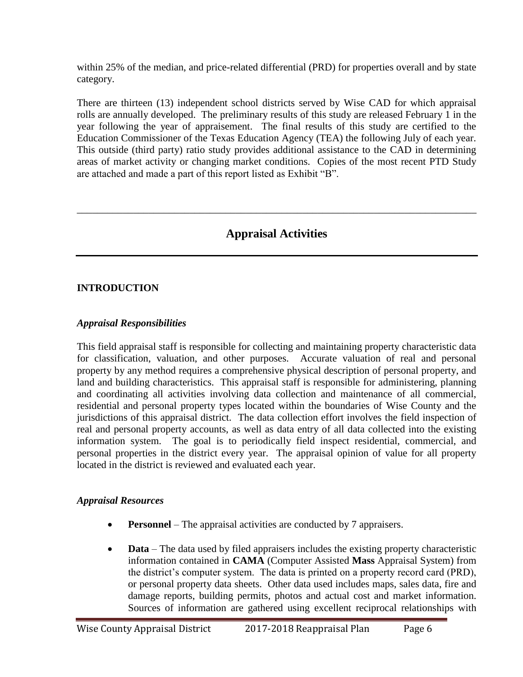within 25% of the median, and price-related differential (PRD) for properties overall and by state category.

There are thirteen (13) independent school districts served by Wise CAD for which appraisal rolls are annually developed. The preliminary results of this study are released February 1 in the year following the year of appraisement. The final results of this study are certified to the Education Commissioner of the Texas Education Agency (TEA) the following July of each year. This outside (third party) ratio study provides additional assistance to the CAD in determining areas of market activity or changing market conditions. Copies of the most recent PTD Study are attached and made a part of this report listed as Exhibit "B".

# **Appraisal Activities**

\_\_\_\_\_\_\_\_\_\_\_\_\_\_\_\_\_\_\_\_\_\_\_\_\_\_\_\_\_\_\_\_\_\_\_\_\_\_\_\_\_\_\_\_\_\_\_\_\_\_\_\_\_\_\_\_\_\_\_\_\_\_\_\_\_\_\_\_\_\_\_\_\_\_\_\_\_\_

## **INTRODUCTION**

### *Appraisal Responsibilities*

This field appraisal staff is responsible for collecting and maintaining property characteristic data for classification, valuation, and other purposes. Accurate valuation of real and personal property by any method requires a comprehensive physical description of personal property, and land and building characteristics. This appraisal staff is responsible for administering, planning and coordinating all activities involving data collection and maintenance of all commercial, residential and personal property types located within the boundaries of Wise County and the jurisdictions of this appraisal district. The data collection effort involves the field inspection of real and personal property accounts, as well as data entry of all data collected into the existing information system. The goal is to periodically field inspect residential, commercial, and personal properties in the district every year. The appraisal opinion of value for all property located in the district is reviewed and evaluated each year.

### *Appraisal Resources*

- **Personnel** The appraisal activities are conducted by 7 appraisers.
- **Data** The data used by filed appraisers includes the existing property characteristic information contained in **CAMA** (Computer Assisted **Mass** Appraisal System) from the district's computer system. The data is printed on a property record card (PRD), or personal property data sheets. Other data used includes maps, sales data, fire and damage reports, building permits, photos and actual cost and market information. Sources of information are gathered using excellent reciprocal relationships with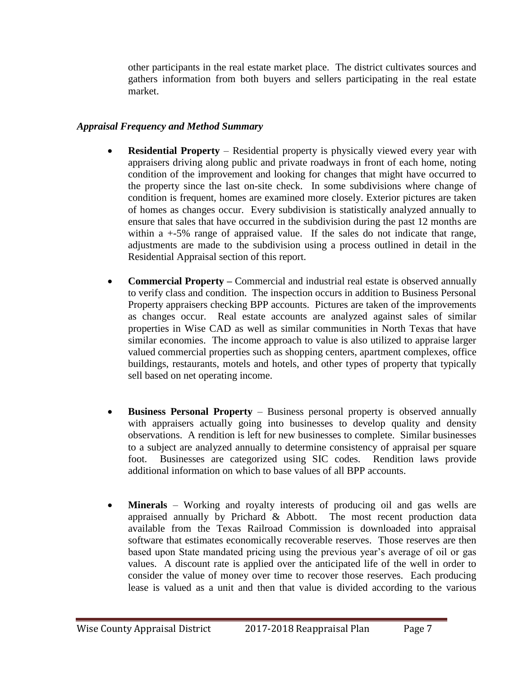other participants in the real estate market place. The district cultivates sources and gathers information from both buyers and sellers participating in the real estate market.

## *Appraisal Frequency and Method Summary*

- **Residential Property** Residential property is physically viewed every year with appraisers driving along public and private roadways in front of each home, noting condition of the improvement and looking for changes that might have occurred to the property since the last on-site check. In some subdivisions where change of condition is frequent, homes are examined more closely. Exterior pictures are taken of homes as changes occur. Every subdivision is statistically analyzed annually to ensure that sales that have occurred in the subdivision during the past 12 months are within a +-5% range of appraised value. If the sales do not indicate that range, adjustments are made to the subdivision using a process outlined in detail in the Residential Appraisal section of this report.
- **Commercial Property** Commercial and industrial real estate is observed annually to verify class and condition. The inspection occurs in addition to Business Personal Property appraisers checking BPP accounts. Pictures are taken of the improvements as changes occur. Real estate accounts are analyzed against sales of similar properties in Wise CAD as well as similar communities in North Texas that have similar economies. The income approach to value is also utilized to appraise larger valued commercial properties such as shopping centers, apartment complexes, office buildings, restaurants, motels and hotels, and other types of property that typically sell based on net operating income.
- **Business Personal Property** Business personal property is observed annually with appraisers actually going into businesses to develop quality and density observations. A rendition is left for new businesses to complete. Similar businesses to a subject are analyzed annually to determine consistency of appraisal per square foot. Businesses are categorized using SIC codes. Rendition laws provide additional information on which to base values of all BPP accounts.
- **Minerals** Working and royalty interests of producing oil and gas wells are appraised annually by Prichard & Abbott. The most recent production data available from the Texas Railroad Commission is downloaded into appraisal software that estimates economically recoverable reserves. Those reserves are then based upon State mandated pricing using the previous year's average of oil or gas values. A discount rate is applied over the anticipated life of the well in order to consider the value of money over time to recover those reserves. Each producing lease is valued as a unit and then that value is divided according to the various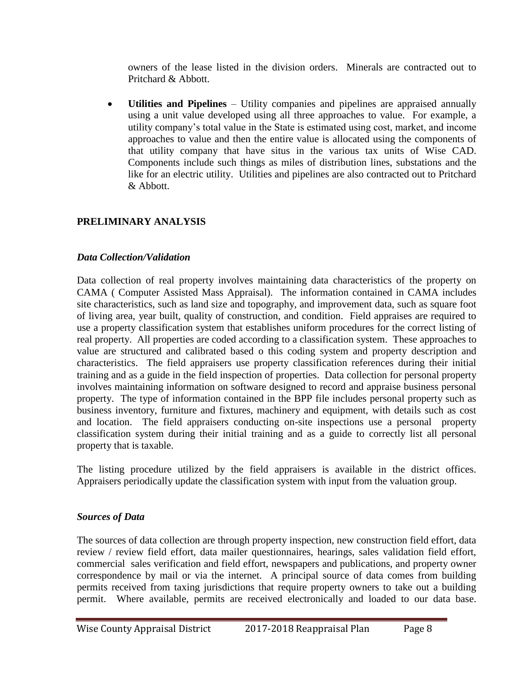owners of the lease listed in the division orders. Minerals are contracted out to Pritchard & Abbott.

 **Utilities and Pipelines** – Utility companies and pipelines are appraised annually using a unit value developed using all three approaches to value. For example, a utility company's total value in the State is estimated using cost, market, and income approaches to value and then the entire value is allocated using the components of that utility company that have situs in the various tax units of Wise CAD. Components include such things as miles of distribution lines, substations and the like for an electric utility. Utilities and pipelines are also contracted out to Pritchard & Abbott.

# **PRELIMINARY ANALYSIS**

## *Data Collection/Validation*

Data collection of real property involves maintaining data characteristics of the property on CAMA ( Computer Assisted Mass Appraisal). The information contained in CAMA includes site characteristics, such as land size and topography, and improvement data, such as square foot of living area, year built, quality of construction, and condition. Field appraises are required to use a property classification system that establishes uniform procedures for the correct listing of real property. All properties are coded according to a classification system. These approaches to value are structured and calibrated based o this coding system and property description and characteristics. The field appraisers use property classification references during their initial training and as a guide in the field inspection of properties. Data collection for personal property involves maintaining information on software designed to record and appraise business personal property. The type of information contained in the BPP file includes personal property such as business inventory, furniture and fixtures, machinery and equipment, with details such as cost and location. The field appraisers conducting on-site inspections use a personal property classification system during their initial training and as a guide to correctly list all personal property that is taxable.

The listing procedure utilized by the field appraisers is available in the district offices. Appraisers periodically update the classification system with input from the valuation group.

### *Sources of Data*

The sources of data collection are through property inspection, new construction field effort, data review / review field effort, data mailer questionnaires, hearings, sales validation field effort, commercial sales verification and field effort, newspapers and publications, and property owner correspondence by mail or via the internet. A principal source of data comes from building permits received from taxing jurisdictions that require property owners to take out a building permit. Where available, permits are received electronically and loaded to our data base.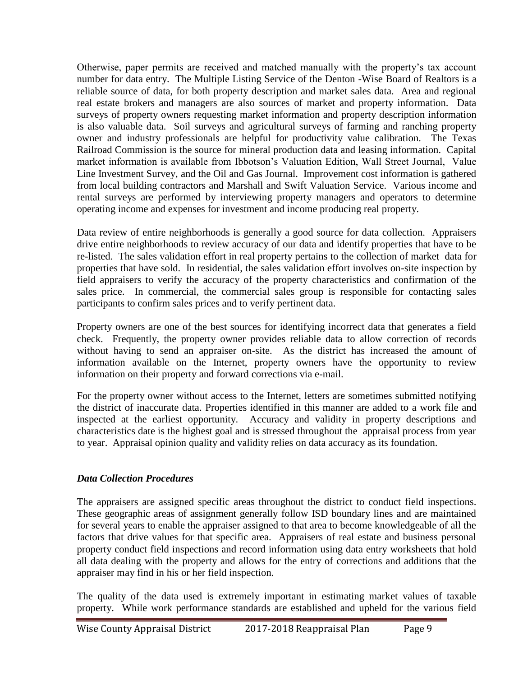Otherwise, paper permits are received and matched manually with the property's tax account number for data entry. The Multiple Listing Service of the Denton -Wise Board of Realtors is a reliable source of data, for both property description and market sales data. Area and regional real estate brokers and managers are also sources of market and property information. Data surveys of property owners requesting market information and property description information is also valuable data. Soil surveys and agricultural surveys of farming and ranching property owner and industry professionals are helpful for productivity value calibration. The Texas Railroad Commission is the source for mineral production data and leasing information. Capital market information is available from Ibbotson's Valuation Edition, Wall Street Journal, Value Line Investment Survey, and the Oil and Gas Journal. Improvement cost information is gathered from local building contractors and Marshall and Swift Valuation Service. Various income and rental surveys are performed by interviewing property managers and operators to determine operating income and expenses for investment and income producing real property.

Data review of entire neighborhoods is generally a good source for data collection. Appraisers drive entire neighborhoods to review accuracy of our data and identify properties that have to be re-listed. The sales validation effort in real property pertains to the collection of market data for properties that have sold. In residential, the sales validation effort involves on-site inspection by field appraisers to verify the accuracy of the property characteristics and confirmation of the sales price. In commercial, the commercial sales group is responsible for contacting sales participants to confirm sales prices and to verify pertinent data.

Property owners are one of the best sources for identifying incorrect data that generates a field check. Frequently, the property owner provides reliable data to allow correction of records without having to send an appraiser on-site. As the district has increased the amount of information available on the Internet, property owners have the opportunity to review information on their property and forward corrections via e-mail.

For the property owner without access to the Internet, letters are sometimes submitted notifying the district of inaccurate data. Properties identified in this manner are added to a work file and inspected at the earliest opportunity. Accuracy and validity in property descriptions and characteristics date is the highest goal and is stressed throughout the appraisal process from year to year. Appraisal opinion quality and validity relies on data accuracy as its foundation.

# *Data Collection Procedures*

The appraisers are assigned specific areas throughout the district to conduct field inspections. These geographic areas of assignment generally follow ISD boundary lines and are maintained for several years to enable the appraiser assigned to that area to become knowledgeable of all the factors that drive values for that specific area. Appraisers of real estate and business personal property conduct field inspections and record information using data entry worksheets that hold all data dealing with the property and allows for the entry of corrections and additions that the appraiser may find in his or her field inspection.

The quality of the data used is extremely important in estimating market values of taxable property. While work performance standards are established and upheld for the various field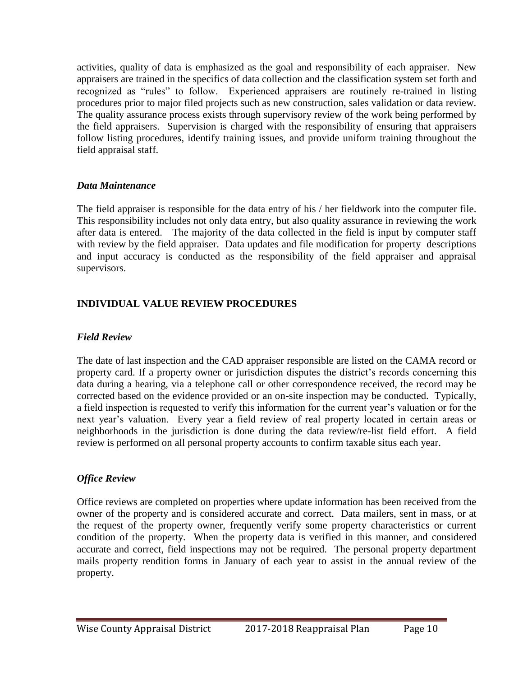activities, quality of data is emphasized as the goal and responsibility of each appraiser. New appraisers are trained in the specifics of data collection and the classification system set forth and recognized as "rules" to follow. Experienced appraisers are routinely re-trained in listing procedures prior to major filed projects such as new construction, sales validation or data review. The quality assurance process exists through supervisory review of the work being performed by the field appraisers. Supervision is charged with the responsibility of ensuring that appraisers follow listing procedures, identify training issues, and provide uniform training throughout the field appraisal staff.

### *Data Maintenance*

The field appraiser is responsible for the data entry of his / her fieldwork into the computer file. This responsibility includes not only data entry, but also quality assurance in reviewing the work after data is entered. The majority of the data collected in the field is input by computer staff with review by the field appraiser. Data updates and file modification for property descriptions and input accuracy is conducted as the responsibility of the field appraiser and appraisal supervisors.

## **INDIVIDUAL VALUE REVIEW PROCEDURES**

### *Field Review*

The date of last inspection and the CAD appraiser responsible are listed on the CAMA record or property card. If a property owner or jurisdiction disputes the district's records concerning this data during a hearing, via a telephone call or other correspondence received, the record may be corrected based on the evidence provided or an on-site inspection may be conducted. Typically, a field inspection is requested to verify this information for the current year's valuation or for the next year's valuation. Every year a field review of real property located in certain areas or neighborhoods in the jurisdiction is done during the data review/re-list field effort. A field review is performed on all personal property accounts to confirm taxable situs each year.

### *Office Review*

Office reviews are completed on properties where update information has been received from the owner of the property and is considered accurate and correct. Data mailers, sent in mass, or at the request of the property owner, frequently verify some property characteristics or current condition of the property. When the property data is verified in this manner, and considered accurate and correct, field inspections may not be required. The personal property department mails property rendition forms in January of each year to assist in the annual review of the property.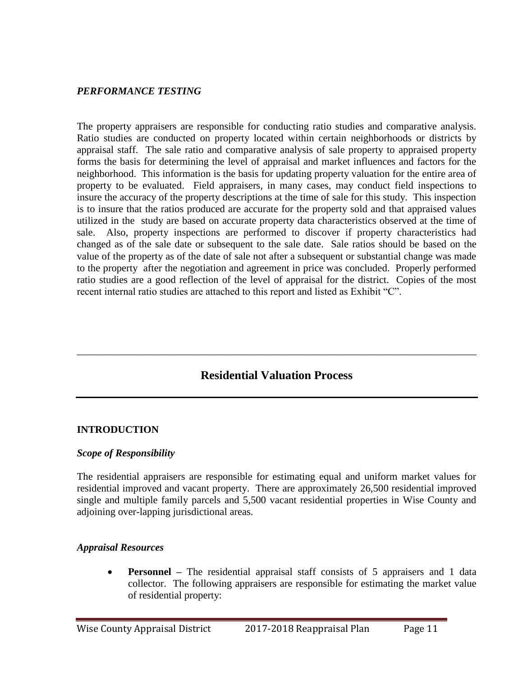#### *PERFORMANCE TESTING*

The property appraisers are responsible for conducting ratio studies and comparative analysis. Ratio studies are conducted on property located within certain neighborhoods or districts by appraisal staff. The sale ratio and comparative analysis of sale property to appraised property forms the basis for determining the level of appraisal and market influences and factors for the neighborhood. This information is the basis for updating property valuation for the entire area of property to be evaluated. Field appraisers, in many cases, may conduct field inspections to insure the accuracy of the property descriptions at the time of sale for this study. This inspection is to insure that the ratios produced are accurate for the property sold and that appraised values utilized in the study are based on accurate property data characteristics observed at the time of sale. Also, property inspections are performed to discover if property characteristics had changed as of the sale date or subsequent to the sale date. Sale ratios should be based on the value of the property as of the date of sale not after a subsequent or substantial change was made to the property after the negotiation and agreement in price was concluded. Properly performed ratio studies are a good reflection of the level of appraisal for the district. Copies of the most recent internal ratio studies are attached to this report and listed as Exhibit "C".

# **Residential Valuation Process**

\_\_\_\_\_\_\_\_\_\_\_\_\_\_\_\_\_\_\_\_\_\_\_\_\_\_\_\_\_\_\_\_\_\_\_\_\_\_\_\_\_\_\_\_\_\_\_\_\_\_\_\_\_\_\_\_\_\_\_\_\_\_\_\_\_\_\_\_\_\_\_\_\_\_\_\_\_\_

#### **INTRODUCTION**

#### *Scope of Responsibility*

The residential appraisers are responsible for estimating equal and uniform market values for residential improved and vacant property. There are approximately 26,500 residential improved single and multiple family parcels and 5,500 vacant residential properties in Wise County and adjoining over-lapping jurisdictional areas.

#### *Appraisal Resources*

**Personnel** – The residential appraisal staff consists of 5 appraisers and 1 data collector. The following appraisers are responsible for estimating the market value of residential property: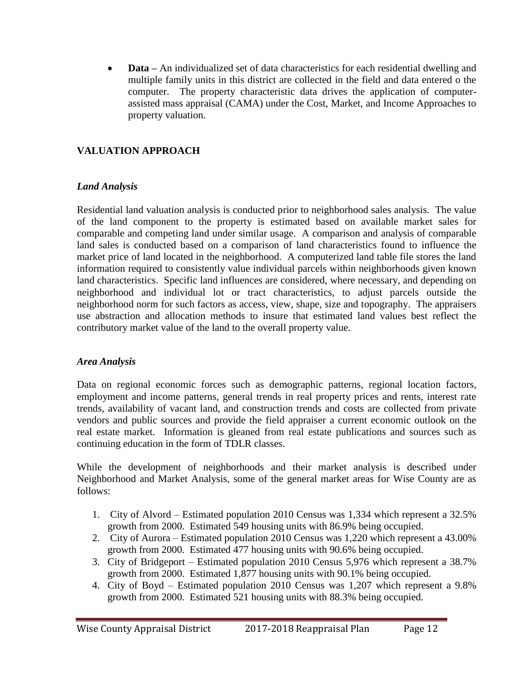**Data –** An individualized set of data characteristics for each residential dwelling and multiple family units in this district are collected in the field and data entered o the computer. The property characteristic data drives the application of computerassisted mass appraisal (CAMA) under the Cost, Market, and Income Approaches to property valuation.

# **VALUATION APPROACH**

### *Land Analysis*

Residential land valuation analysis is conducted prior to neighborhood sales analysis. The value of the land component to the property is estimated based on available market sales for comparable and competing land under similar usage. A comparison and analysis of comparable land sales is conducted based on a comparison of land characteristics found to influence the market price of land located in the neighborhood. A computerized land table file stores the land information required to consistently value individual parcels within neighborhoods given known land characteristics. Specific land influences are considered, where necessary, and depending on neighborhood and individual lot or tract characteristics, to adjust parcels outside the neighborhood norm for such factors as access, view, shape, size and topography. The appraisers use abstraction and allocation methods to insure that estimated land values best reflect the contributory market value of the land to the overall property value.

### *Area Analysis*

Data on regional economic forces such as demographic patterns, regional location factors, employment and income patterns, general trends in real property prices and rents, interest rate trends, availability of vacant land, and construction trends and costs are collected from private vendors and public sources and provide the field appraiser a current economic outlook on the real estate market. Information is gleaned from real estate publications and sources such as continuing education in the form of TDLR classes.

While the development of neighborhoods and their market analysis is described under Neighborhood and Market Analysis, some of the general market areas for Wise County are as follows:

- 1. City of Alvord Estimated population 2010 Census was 1,334 which represent a 32.5% growth from 2000. Estimated 549 housing units with 86.9% being occupied.
- 2. City of Aurora Estimated population 2010 Census was 1,220 which represent a 43.00% growth from 2000. Estimated 477 housing units with 90.6% being occupied.
- 3. City of Bridgeport Estimated population 2010 Census 5,976 which represent a 38.7% growth from 2000. Estimated 1,877 housing units with 90.1% being occupied.
- 4. City of Boyd Estimated population 2010 Census was 1,207 which represent a 9.8% growth from 2000. Estimated 521 housing units with 88.3% being occupied.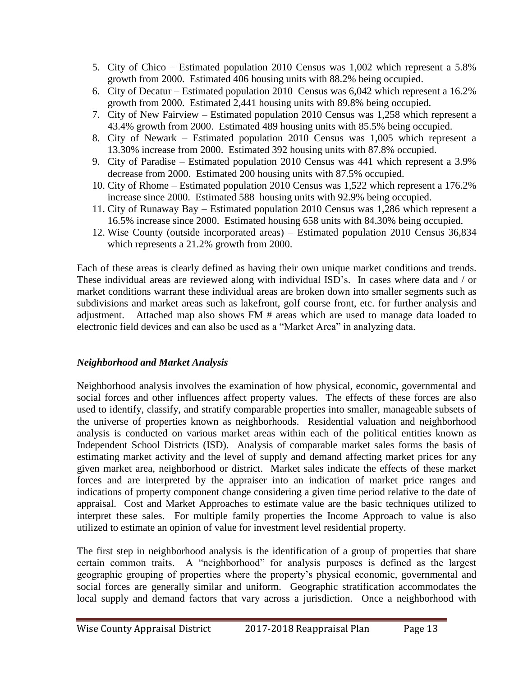- 5. City of Chico Estimated population 2010 Census was 1,002 which represent a 5.8% growth from 2000. Estimated 406 housing units with 88.2% being occupied.
- 6. City of Decatur Estimated population 2010 Census was 6,042 which represent a 16.2% growth from 2000. Estimated 2,441 housing units with 89.8% being occupied.
- 7. City of New Fairview Estimated population 2010 Census was 1,258 which represent a 43.4% growth from 2000. Estimated 489 housing units with 85.5% being occupied.
- 8. City of Newark Estimated population 2010 Census was 1,005 which represent a 13.30% increase from 2000. Estimated 392 housing units with 87.8% occupied.
- 9. City of Paradise Estimated population 2010 Census was 441 which represent a 3.9% decrease from 2000. Estimated 200 housing units with 87.5% occupied.
- 10. City of Rhome Estimated population 2010 Census was 1,522 which represent a 176.2% increase since 2000. Estimated 588 housing units with 92.9% being occupied.
- 11. City of Runaway Bay Estimated population 2010 Census was 1,286 which represent a 16.5% increase since 2000. Estimated housing 658 units with 84.30% being occupied.
- 12. Wise County (outside incorporated areas) Estimated population 2010 Census 36,834 which represents a 21.2% growth from 2000.

Each of these areas is clearly defined as having their own unique market conditions and trends. These individual areas are reviewed along with individual ISD's. In cases where data and / or market conditions warrant these individual areas are broken down into smaller segments such as subdivisions and market areas such as lakefront, golf course front, etc. for further analysis and adjustment. Attached map also shows FM # areas which are used to manage data loaded to electronic field devices and can also be used as a "Market Area" in analyzing data.

# *Neighborhood and Market Analysis*

Neighborhood analysis involves the examination of how physical, economic, governmental and social forces and other influences affect property values. The effects of these forces are also used to identify, classify, and stratify comparable properties into smaller, manageable subsets of the universe of properties known as neighborhoods. Residential valuation and neighborhood analysis is conducted on various market areas within each of the political entities known as Independent School Districts (ISD). Analysis of comparable market sales forms the basis of estimating market activity and the level of supply and demand affecting market prices for any given market area, neighborhood or district. Market sales indicate the effects of these market forces and are interpreted by the appraiser into an indication of market price ranges and indications of property component change considering a given time period relative to the date of appraisal. Cost and Market Approaches to estimate value are the basic techniques utilized to interpret these sales. For multiple family properties the Income Approach to value is also utilized to estimate an opinion of value for investment level residential property.

The first step in neighborhood analysis is the identification of a group of properties that share certain common traits. A "neighborhood" for analysis purposes is defined as the largest geographic grouping of properties where the property's physical economic, governmental and social forces are generally similar and uniform. Geographic stratification accommodates the local supply and demand factors that vary across a jurisdiction. Once a neighborhood with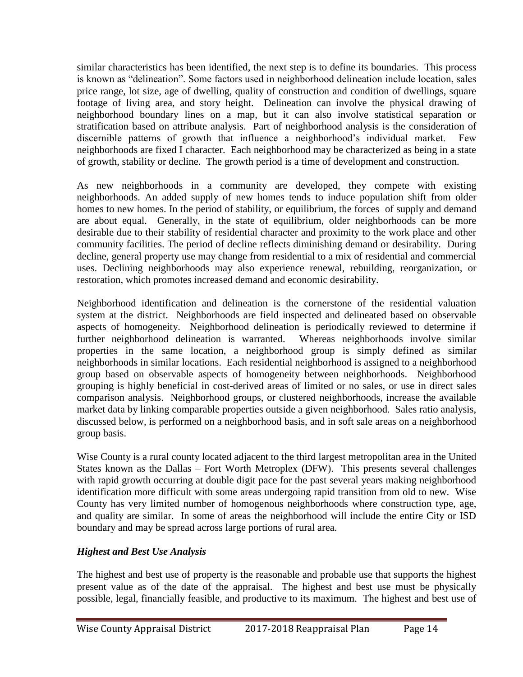similar characteristics has been identified, the next step is to define its boundaries. This process is known as "delineation". Some factors used in neighborhood delineation include location, sales price range, lot size, age of dwelling, quality of construction and condition of dwellings, square footage of living area, and story height. Delineation can involve the physical drawing of neighborhood boundary lines on a map, but it can also involve statistical separation or stratification based on attribute analysis. Part of neighborhood analysis is the consideration of discernible patterns of growth that influence a neighborhood's individual market. neighborhoods are fixed I character. Each neighborhood may be characterized as being in a state of growth, stability or decline. The growth period is a time of development and construction.

As new neighborhoods in a community are developed, they compete with existing neighborhoods. An added supply of new homes tends to induce population shift from older homes to new homes. In the period of stability, or equilibrium, the forces of supply and demand are about equal. Generally, in the state of equilibrium, older neighborhoods can be more desirable due to their stability of residential character and proximity to the work place and other community facilities. The period of decline reflects diminishing demand or desirability. During decline, general property use may change from residential to a mix of residential and commercial uses. Declining neighborhoods may also experience renewal, rebuilding, reorganization, or restoration, which promotes increased demand and economic desirability.

Neighborhood identification and delineation is the cornerstone of the residential valuation system at the district. Neighborhoods are field inspected and delineated based on observable aspects of homogeneity. Neighborhood delineation is periodically reviewed to determine if further neighborhood delineation is warranted. Whereas neighborhoods involve similar properties in the same location, a neighborhood group is simply defined as similar neighborhoods in similar locations. Each residential neighborhood is assigned to a neighborhood group based on observable aspects of homogeneity between neighborhoods. Neighborhood grouping is highly beneficial in cost-derived areas of limited or no sales, or use in direct sales comparison analysis. Neighborhood groups, or clustered neighborhoods, increase the available market data by linking comparable properties outside a given neighborhood. Sales ratio analysis, discussed below, is performed on a neighborhood basis, and in soft sale areas on a neighborhood group basis.

Wise County is a rural county located adjacent to the third largest metropolitan area in the United States known as the Dallas – Fort Worth Metroplex (DFW). This presents several challenges with rapid growth occurring at double digit pace for the past several years making neighborhood identification more difficult with some areas undergoing rapid transition from old to new. Wise County has very limited number of homogenous neighborhoods where construction type, age, and quality are similar. In some of areas the neighborhood will include the entire City or ISD boundary and may be spread across large portions of rural area.

# *Highest and Best Use Analysis*

The highest and best use of property is the reasonable and probable use that supports the highest present value as of the date of the appraisal. The highest and best use must be physically possible, legal, financially feasible, and productive to its maximum. The highest and best use of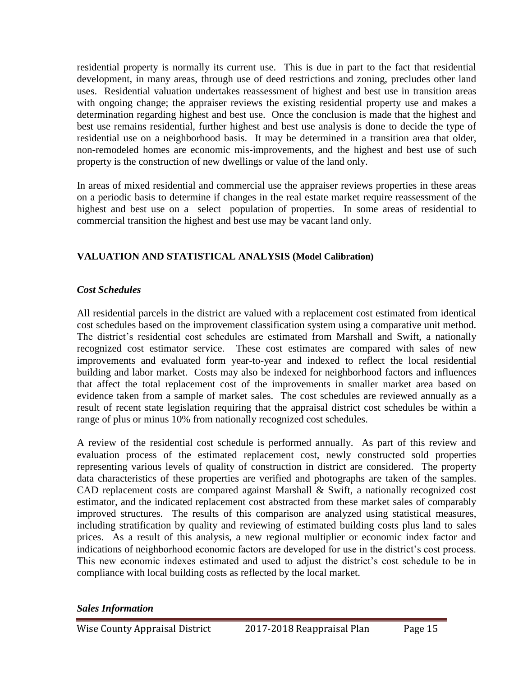residential property is normally its current use. This is due in part to the fact that residential development, in many areas, through use of deed restrictions and zoning, precludes other land uses. Residential valuation undertakes reassessment of highest and best use in transition areas with ongoing change; the appraiser reviews the existing residential property use and makes a determination regarding highest and best use. Once the conclusion is made that the highest and best use remains residential, further highest and best use analysis is done to decide the type of residential use on a neighborhood basis. It may be determined in a transition area that older, non-remodeled homes are economic mis-improvements, and the highest and best use of such property is the construction of new dwellings or value of the land only.

In areas of mixed residential and commercial use the appraiser reviews properties in these areas on a periodic basis to determine if changes in the real estate market require reassessment of the highest and best use on a select population of properties. In some areas of residential to commercial transition the highest and best use may be vacant land only.

# **VALUATION AND STATISTICAL ANALYSIS (Model Calibration)**

# *Cost Schedules*

All residential parcels in the district are valued with a replacement cost estimated from identical cost schedules based on the improvement classification system using a comparative unit method. The district's residential cost schedules are estimated from Marshall and Swift, a nationally recognized cost estimator service. These cost estimates are compared with sales of new improvements and evaluated form year-to-year and indexed to reflect the local residential building and labor market. Costs may also be indexed for neighborhood factors and influences that affect the total replacement cost of the improvements in smaller market area based on evidence taken from a sample of market sales. The cost schedules are reviewed annually as a result of recent state legislation requiring that the appraisal district cost schedules be within a range of plus or minus 10% from nationally recognized cost schedules.

A review of the residential cost schedule is performed annually. As part of this review and evaluation process of the estimated replacement cost, newly constructed sold properties representing various levels of quality of construction in district are considered. The property data characteristics of these properties are verified and photographs are taken of the samples. CAD replacement costs are compared against Marshall & Swift, a nationally recognized cost estimator, and the indicated replacement cost abstracted from these market sales of comparably improved structures. The results of this comparison are analyzed using statistical measures, including stratification by quality and reviewing of estimated building costs plus land to sales prices. As a result of this analysis, a new regional multiplier or economic index factor and indications of neighborhood economic factors are developed for use in the district's cost process. This new economic indexes estimated and used to adjust the district's cost schedule to be in compliance with local building costs as reflected by the local market.

*Sales Information*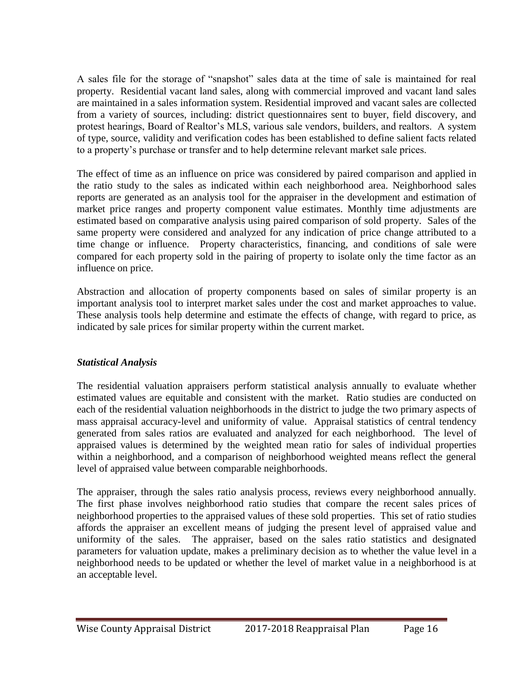A sales file for the storage of "snapshot" sales data at the time of sale is maintained for real property. Residential vacant land sales, along with commercial improved and vacant land sales are maintained in a sales information system. Residential improved and vacant sales are collected from a variety of sources, including: district questionnaires sent to buyer, field discovery, and protest hearings, Board of Realtor's MLS, various sale vendors, builders, and realtors. A system of type, source, validity and verification codes has been established to define salient facts related to a property's purchase or transfer and to help determine relevant market sale prices.

The effect of time as an influence on price was considered by paired comparison and applied in the ratio study to the sales as indicated within each neighborhood area. Neighborhood sales reports are generated as an analysis tool for the appraiser in the development and estimation of market price ranges and property component value estimates. Monthly time adjustments are estimated based on comparative analysis using paired comparison of sold property. Sales of the same property were considered and analyzed for any indication of price change attributed to a time change or influence. Property characteristics, financing, and conditions of sale were compared for each property sold in the pairing of property to isolate only the time factor as an influence on price.

Abstraction and allocation of property components based on sales of similar property is an important analysis tool to interpret market sales under the cost and market approaches to value. These analysis tools help determine and estimate the effects of change, with regard to price, as indicated by sale prices for similar property within the current market.

# *Statistical Analysis*

The residential valuation appraisers perform statistical analysis annually to evaluate whether estimated values are equitable and consistent with the market. Ratio studies are conducted on each of the residential valuation neighborhoods in the district to judge the two primary aspects of mass appraisal accuracy-level and uniformity of value. Appraisal statistics of central tendency generated from sales ratios are evaluated and analyzed for each neighborhood. The level of appraised values is determined by the weighted mean ratio for sales of individual properties within a neighborhood, and a comparison of neighborhood weighted means reflect the general level of appraised value between comparable neighborhoods.

The appraiser, through the sales ratio analysis process, reviews every neighborhood annually. The first phase involves neighborhood ratio studies that compare the recent sales prices of neighborhood properties to the appraised values of these sold properties. This set of ratio studies affords the appraiser an excellent means of judging the present level of appraised value and uniformity of the sales. The appraiser, based on the sales ratio statistics and designated parameters for valuation update, makes a preliminary decision as to whether the value level in a neighborhood needs to be updated or whether the level of market value in a neighborhood is at an acceptable level.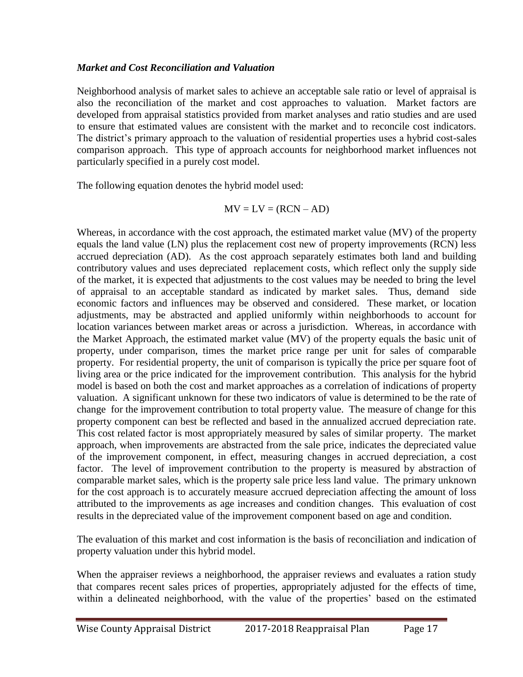#### *Market and Cost Reconciliation and Valuation*

Neighborhood analysis of market sales to achieve an acceptable sale ratio or level of appraisal is also the reconciliation of the market and cost approaches to valuation. Market factors are developed from appraisal statistics provided from market analyses and ratio studies and are used to ensure that estimated values are consistent with the market and to reconcile cost indicators. The district's primary approach to the valuation of residential properties uses a hybrid cost-sales comparison approach. This type of approach accounts for neighborhood market influences not particularly specified in a purely cost model.

The following equation denotes the hybrid model used:

$$
MV = LV = (RCN - AD)
$$

Whereas, in accordance with the cost approach, the estimated market value (MV) of the property equals the land value (LN) plus the replacement cost new of property improvements (RCN) less accrued depreciation (AD). As the cost approach separately estimates both land and building contributory values and uses depreciated replacement costs, which reflect only the supply side of the market, it is expected that adjustments to the cost values may be needed to bring the level of appraisal to an acceptable standard as indicated by market sales. Thus, demand side economic factors and influences may be observed and considered. These market, or location adjustments, may be abstracted and applied uniformly within neighborhoods to account for location variances between market areas or across a jurisdiction. Whereas, in accordance with the Market Approach, the estimated market value (MV) of the property equals the basic unit of property, under comparison, times the market price range per unit for sales of comparable property. For residential property, the unit of comparison is typically the price per square foot of living area or the price indicated for the improvement contribution. This analysis for the hybrid model is based on both the cost and market approaches as a correlation of indications of property valuation. A significant unknown for these two indicators of value is determined to be the rate of change for the improvement contribution to total property value. The measure of change for this property component can best be reflected and based in the annualized accrued depreciation rate. This cost related factor is most appropriately measured by sales of similar property. The market approach, when improvements are abstracted from the sale price, indicates the depreciated value of the improvement component, in effect, measuring changes in accrued depreciation, a cost factor. The level of improvement contribution to the property is measured by abstraction of comparable market sales, which is the property sale price less land value. The primary unknown for the cost approach is to accurately measure accrued depreciation affecting the amount of loss attributed to the improvements as age increases and condition changes. This evaluation of cost results in the depreciated value of the improvement component based on age and condition.

The evaluation of this market and cost information is the basis of reconciliation and indication of property valuation under this hybrid model.

When the appraiser reviews a neighborhood, the appraiser reviews and evaluates a ration study that compares recent sales prices of properties, appropriately adjusted for the effects of time, within a delineated neighborhood, with the value of the properties' based on the estimated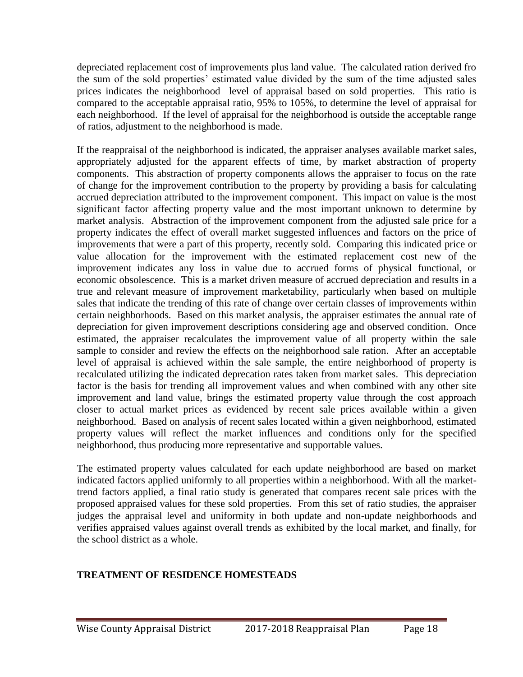depreciated replacement cost of improvements plus land value. The calculated ration derived fro the sum of the sold properties' estimated value divided by the sum of the time adjusted sales prices indicates the neighborhood level of appraisal based on sold properties. This ratio is compared to the acceptable appraisal ratio, 95% to 105%, to determine the level of appraisal for each neighborhood. If the level of appraisal for the neighborhood is outside the acceptable range of ratios, adjustment to the neighborhood is made.

If the reappraisal of the neighborhood is indicated, the appraiser analyses available market sales, appropriately adjusted for the apparent effects of time, by market abstraction of property components. This abstraction of property components allows the appraiser to focus on the rate of change for the improvement contribution to the property by providing a basis for calculating accrued depreciation attributed to the improvement component. This impact on value is the most significant factor affecting property value and the most important unknown to determine by market analysis. Abstraction of the improvement component from the adjusted sale price for a property indicates the effect of overall market suggested influences and factors on the price of improvements that were a part of this property, recently sold. Comparing this indicated price or value allocation for the improvement with the estimated replacement cost new of the improvement indicates any loss in value due to accrued forms of physical functional, or economic obsolescence. This is a market driven measure of accrued depreciation and results in a true and relevant measure of improvement marketability, particularly when based on multiple sales that indicate the trending of this rate of change over certain classes of improvements within certain neighborhoods. Based on this market analysis, the appraiser estimates the annual rate of depreciation for given improvement descriptions considering age and observed condition. Once estimated, the appraiser recalculates the improvement value of all property within the sale sample to consider and review the effects on the neighborhood sale ration. After an acceptable level of appraisal is achieved within the sale sample, the entire neighborhood of property is recalculated utilizing the indicated deprecation rates taken from market sales. This depreciation factor is the basis for trending all improvement values and when combined with any other site improvement and land value, brings the estimated property value through the cost approach closer to actual market prices as evidenced by recent sale prices available within a given neighborhood. Based on analysis of recent sales located within a given neighborhood, estimated property values will reflect the market influences and conditions only for the specified neighborhood, thus producing more representative and supportable values.

The estimated property values calculated for each update neighborhood are based on market indicated factors applied uniformly to all properties within a neighborhood. With all the markettrend factors applied, a final ratio study is generated that compares recent sale prices with the proposed appraised values for these sold properties. From this set of ratio studies, the appraiser judges the appraisal level and uniformity in both update and non-update neighborhoods and verifies appraised values against overall trends as exhibited by the local market, and finally, for the school district as a whole.

### **TREATMENT OF RESIDENCE HOMESTEADS**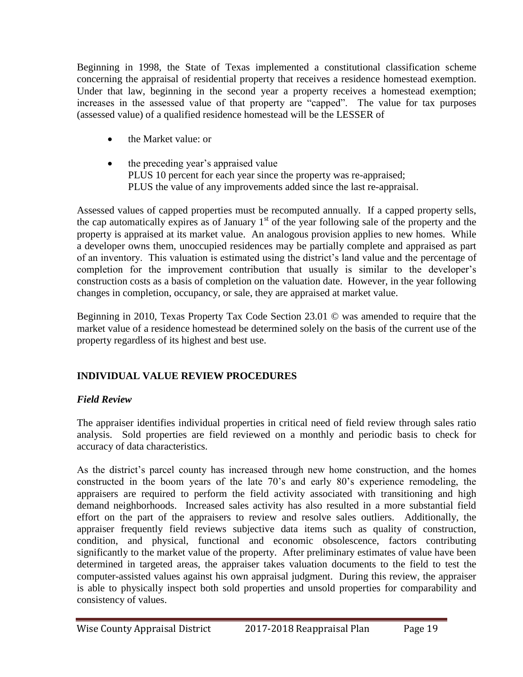Beginning in 1998, the State of Texas implemented a constitutional classification scheme concerning the appraisal of residential property that receives a residence homestead exemption. Under that law, beginning in the second year a property receives a homestead exemption; increases in the assessed value of that property are "capped". The value for tax purposes (assessed value) of a qualified residence homestead will be the LESSER of

- the Market value: or
- the preceding year's appraised value PLUS 10 percent for each year since the property was re-appraised; PLUS the value of any improvements added since the last re-appraisal.

Assessed values of capped properties must be recomputed annually. If a capped property sells, the cap automatically expires as of January  $1<sup>st</sup>$  of the year following sale of the property and the property is appraised at its market value. An analogous provision applies to new homes. While a developer owns them, unoccupied residences may be partially complete and appraised as part of an inventory. This valuation is estimated using the district's land value and the percentage of completion for the improvement contribution that usually is similar to the developer's construction costs as a basis of completion on the valuation date. However, in the year following changes in completion, occupancy, or sale, they are appraised at market value.

Beginning in 2010, Texas Property Tax Code Section 23.01 © was amended to require that the market value of a residence homestead be determined solely on the basis of the current use of the property regardless of its highest and best use.

# **INDIVIDUAL VALUE REVIEW PROCEDURES**

# *Field Review*

The appraiser identifies individual properties in critical need of field review through sales ratio analysis. Sold properties are field reviewed on a monthly and periodic basis to check for accuracy of data characteristics.

As the district's parcel county has increased through new home construction, and the homes constructed in the boom years of the late 70's and early 80's experience remodeling, the appraisers are required to perform the field activity associated with transitioning and high demand neighborhoods. Increased sales activity has also resulted in a more substantial field effort on the part of the appraisers to review and resolve sales outliers. Additionally, the appraiser frequently field reviews subjective data items such as quality of construction, condition, and physical, functional and economic obsolescence, factors contributing significantly to the market value of the property. After preliminary estimates of value have been determined in targeted areas, the appraiser takes valuation documents to the field to test the computer-assisted values against his own appraisal judgment. During this review, the appraiser is able to physically inspect both sold properties and unsold properties for comparability and consistency of values.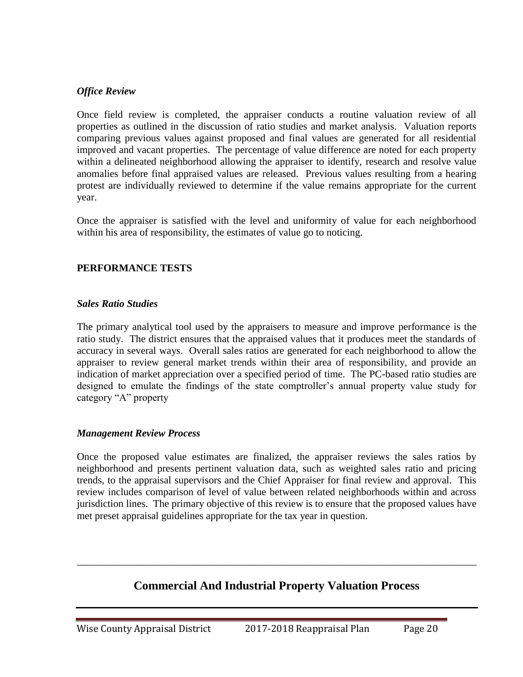#### *Office Review*

Once field review is completed, the appraiser conducts a routine valuation review of all properties as outlined in the discussion of ratio studies and market analysis. Valuation reports comparing previous values against proposed and final values are generated for all residential improved and vacant properties. The percentage of value difference are noted for each property within a delineated neighborhood allowing the appraiser to identify, research and resolve value anomalies before final appraised values are released. Previous values resulting from a hearing protest are individually reviewed to determine if the value remains appropriate for the current year.

Once the appraiser is satisfied with the level and uniformity of value for each neighborhood within his area of responsibility, the estimates of value go to noticing.

#### **PERFORMANCE TESTS**

#### *Sales Ratio Studies*

The primary analytical tool used by the appraisers to measure and improve performance is the ratio study. The district ensures that the appraised values that it produces meet the standards of accuracy in several ways. Overall sales ratios are generated for each neighborhood to allow the appraiser to review general market trends within their area of responsibility, and provide an indication of market appreciation over a specified period of time. The PC-based ratio studies are designed to emulate the findings of the state comptroller's annual property value study for category "A" property

#### *Management Review Process*

Once the proposed value estimates are finalized, the appraiser reviews the sales ratios by neighborhood and presents pertinent valuation data, such as weighted sales ratio and pricing trends, to the appraisal supervisors and the Chief Appraiser for final review and approval. This review includes comparison of level of value between related neighborhoods within and across jurisdiction lines. The primary objective of this review is to ensure that the proposed values have met preset appraisal guidelines appropriate for the tax year in question.

# **Commercial And Industrial Property Valuation Process**

\_\_\_\_\_\_\_\_\_\_\_\_\_\_\_\_\_\_\_\_\_\_\_\_\_\_\_\_\_\_\_\_\_\_\_\_\_\_\_\_\_\_\_\_\_\_\_\_\_\_\_\_\_\_\_\_\_\_\_\_\_\_\_\_\_\_\_\_\_\_\_\_\_\_\_\_\_\_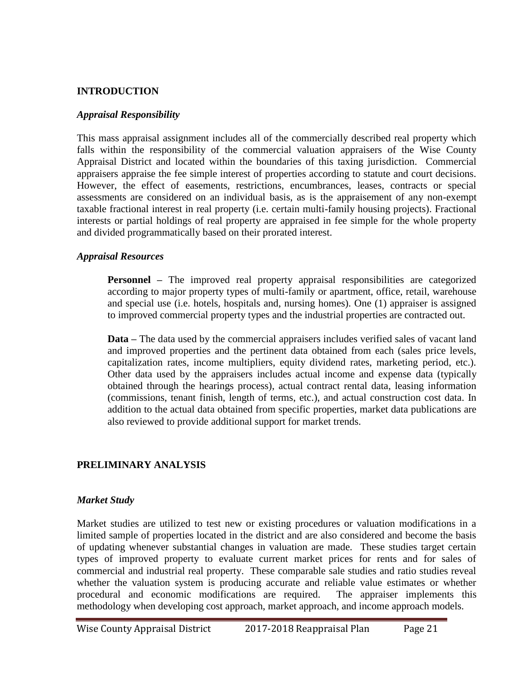#### **INTRODUCTION**

#### *Appraisal Responsibility*

This mass appraisal assignment includes all of the commercially described real property which falls within the responsibility of the commercial valuation appraisers of the Wise County Appraisal District and located within the boundaries of this taxing jurisdiction. Commercial appraisers appraise the fee simple interest of properties according to statute and court decisions. However, the effect of easements, restrictions, encumbrances, leases, contracts or special assessments are considered on an individual basis, as is the appraisement of any non-exempt taxable fractional interest in real property (i.e. certain multi-family housing projects). Fractional interests or partial holdings of real property are appraised in fee simple for the whole property and divided programmatically based on their prorated interest.

#### *Appraisal Resources*

**Personnel** – The improved real property appraisal responsibilities are categorized according to major property types of multi-family or apartment, office, retail, warehouse and special use (i.e. hotels, hospitals and, nursing homes). One (1) appraiser is assigned to improved commercial property types and the industrial properties are contracted out.

**Data –** The data used by the commercial appraisers includes verified sales of vacant land and improved properties and the pertinent data obtained from each (sales price levels, capitalization rates, income multipliers, equity dividend rates, marketing period, etc.). Other data used by the appraisers includes actual income and expense data (typically obtained through the hearings process), actual contract rental data, leasing information (commissions, tenant finish, length of terms, etc.), and actual construction cost data. In addition to the actual data obtained from specific properties, market data publications are also reviewed to provide additional support for market trends.

#### **PRELIMINARY ANALYSIS**

#### *Market Study*

Market studies are utilized to test new or existing procedures or valuation modifications in a limited sample of properties located in the district and are also considered and become the basis of updating whenever substantial changes in valuation are made. These studies target certain types of improved property to evaluate current market prices for rents and for sales of commercial and industrial real property. These comparable sale studies and ratio studies reveal whether the valuation system is producing accurate and reliable value estimates or whether procedural and economic modifications are required. The appraiser implements this methodology when developing cost approach, market approach, and income approach models.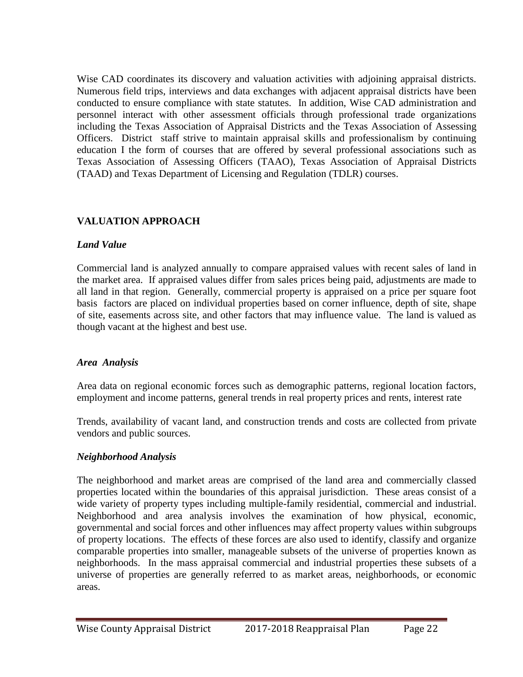Wise CAD coordinates its discovery and valuation activities with adjoining appraisal districts. Numerous field trips, interviews and data exchanges with adjacent appraisal districts have been conducted to ensure compliance with state statutes. In addition, Wise CAD administration and personnel interact with other assessment officials through professional trade organizations including the Texas Association of Appraisal Districts and the Texas Association of Assessing Officers. District staff strive to maintain appraisal skills and professionalism by continuing education I the form of courses that are offered by several professional associations such as Texas Association of Assessing Officers (TAAO), Texas Association of Appraisal Districts (TAAD) and Texas Department of Licensing and Regulation (TDLR) courses.

# **VALUATION APPROACH**

## *Land Value*

Commercial land is analyzed annually to compare appraised values with recent sales of land in the market area. If appraised values differ from sales prices being paid, adjustments are made to all land in that region. Generally, commercial property is appraised on a price per square foot basis factors are placed on individual properties based on corner influence, depth of site, shape of site, easements across site, and other factors that may influence value. The land is valued as though vacant at the highest and best use.

# *Area Analysis*

Area data on regional economic forces such as demographic patterns, regional location factors, employment and income patterns, general trends in real property prices and rents, interest rate

Trends, availability of vacant land, and construction trends and costs are collected from private vendors and public sources.

# *Neighborhood Analysis*

The neighborhood and market areas are comprised of the land area and commercially classed properties located within the boundaries of this appraisal jurisdiction. These areas consist of a wide variety of property types including multiple-family residential, commercial and industrial. Neighborhood and area analysis involves the examination of how physical, economic, governmental and social forces and other influences may affect property values within subgroups of property locations. The effects of these forces are also used to identify, classify and organize comparable properties into smaller, manageable subsets of the universe of properties known as neighborhoods. In the mass appraisal commercial and industrial properties these subsets of a universe of properties are generally referred to as market areas, neighborhoods, or economic areas.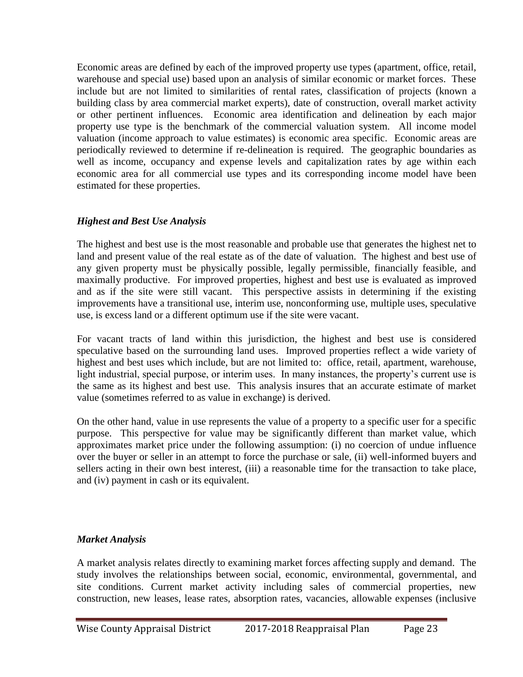Economic areas are defined by each of the improved property use types (apartment, office, retail, warehouse and special use) based upon an analysis of similar economic or market forces. These include but are not limited to similarities of rental rates, classification of projects (known a building class by area commercial market experts), date of construction, overall market activity or other pertinent influences. Economic area identification and delineation by each major property use type is the benchmark of the commercial valuation system. All income model valuation (income approach to value estimates) is economic area specific. Economic areas are periodically reviewed to determine if re-delineation is required. The geographic boundaries as well as income, occupancy and expense levels and capitalization rates by age within each economic area for all commercial use types and its corresponding income model have been estimated for these properties.

## *Highest and Best Use Analysis*

The highest and best use is the most reasonable and probable use that generates the highest net to land and present value of the real estate as of the date of valuation. The highest and best use of any given property must be physically possible, legally permissible, financially feasible, and maximally productive. For improved properties, highest and best use is evaluated as improved and as if the site were still vacant. This perspective assists in determining if the existing improvements have a transitional use, interim use, nonconforming use, multiple uses, speculative use, is excess land or a different optimum use if the site were vacant.

For vacant tracts of land within this jurisdiction, the highest and best use is considered speculative based on the surrounding land uses. Improved properties reflect a wide variety of highest and best uses which include, but are not limited to: office, retail, apartment, warehouse, light industrial, special purpose, or interim uses. In many instances, the property's current use is the same as its highest and best use. This analysis insures that an accurate estimate of market value (sometimes referred to as value in exchange) is derived.

On the other hand, value in use represents the value of a property to a specific user for a specific purpose. This perspective for value may be significantly different than market value, which approximates market price under the following assumption: (i) no coercion of undue influence over the buyer or seller in an attempt to force the purchase or sale, (ii) well-informed buyers and sellers acting in their own best interest, (iii) a reasonable time for the transaction to take place, and (iv) payment in cash or its equivalent.

# *Market Analysis*

A market analysis relates directly to examining market forces affecting supply and demand. The study involves the relationships between social, economic, environmental, governmental, and site conditions. Current market activity including sales of commercial properties, new construction, new leases, lease rates, absorption rates, vacancies, allowable expenses (inclusive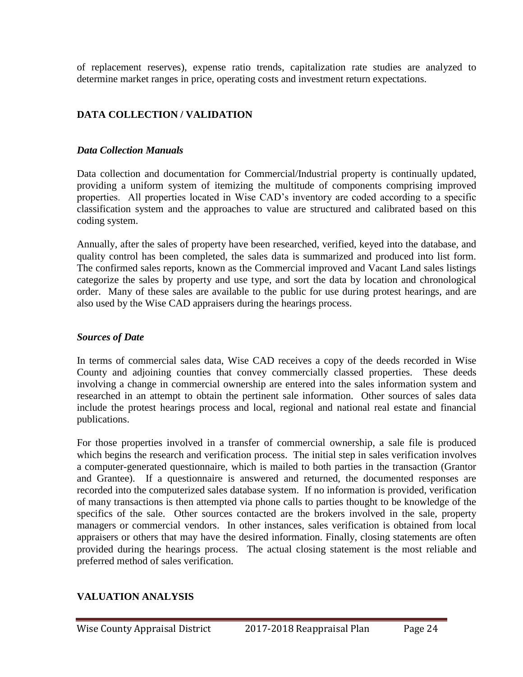of replacement reserves), expense ratio trends, capitalization rate studies are analyzed to determine market ranges in price, operating costs and investment return expectations.

# **DATA COLLECTION / VALIDATION**

### *Data Collection Manuals*

Data collection and documentation for Commercial/Industrial property is continually updated, providing a uniform system of itemizing the multitude of components comprising improved properties. All properties located in Wise CAD's inventory are coded according to a specific classification system and the approaches to value are structured and calibrated based on this coding system.

Annually, after the sales of property have been researched, verified, keyed into the database, and quality control has been completed, the sales data is summarized and produced into list form. The confirmed sales reports, known as the Commercial improved and Vacant Land sales listings categorize the sales by property and use type, and sort the data by location and chronological order. Many of these sales are available to the public for use during protest hearings, and are also used by the Wise CAD appraisers during the hearings process.

## *Sources of Date*

In terms of commercial sales data, Wise CAD receives a copy of the deeds recorded in Wise County and adjoining counties that convey commercially classed properties. These deeds involving a change in commercial ownership are entered into the sales information system and researched in an attempt to obtain the pertinent sale information. Other sources of sales data include the protest hearings process and local, regional and national real estate and financial publications.

For those properties involved in a transfer of commercial ownership, a sale file is produced which begins the research and verification process. The initial step in sales verification involves a computer-generated questionnaire, which is mailed to both parties in the transaction (Grantor and Grantee). If a questionnaire is answered and returned, the documented responses are recorded into the computerized sales database system. If no information is provided, verification of many transactions is then attempted via phone calls to parties thought to be knowledge of the specifics of the sale. Other sources contacted are the brokers involved in the sale, property managers or commercial vendors. In other instances, sales verification is obtained from local appraisers or others that may have the desired information. Finally, closing statements are often provided during the hearings process. The actual closing statement is the most reliable and preferred method of sales verification.

# **VALUATION ANALYSIS**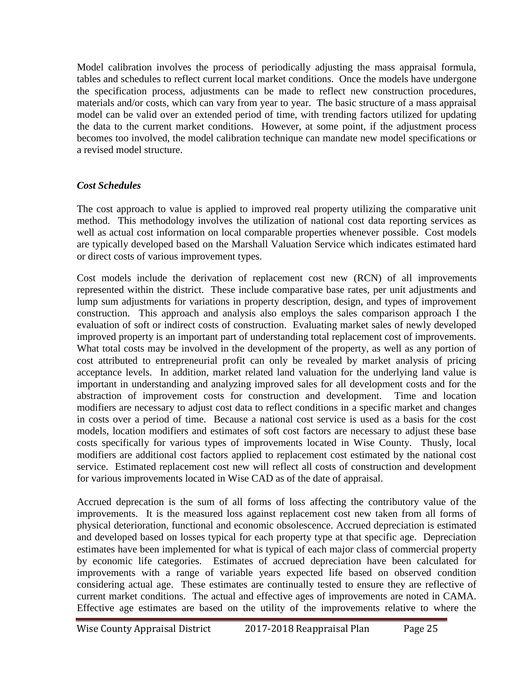Model calibration involves the process of periodically adjusting the mass appraisal formula, tables and schedules to reflect current local market conditions. Once the models have undergone the specification process, adjustments can be made to reflect new construction procedures, materials and/or costs, which can vary from year to year. The basic structure of a mass appraisal model can be valid over an extended period of time, with trending factors utilized for updating the data to the current market conditions. However, at some point, if the adjustment process becomes too involved, the model calibration technique can mandate new model specifications or a revised model structure.

## *Cost Schedules*

The cost approach to value is applied to improved real property utilizing the comparative unit method. This methodology involves the utilization of national cost data reporting services as well as actual cost information on local comparable properties whenever possible. Cost models are typically developed based on the Marshall Valuation Service which indicates estimated hard or direct costs of various improvement types.

Cost models include the derivation of replacement cost new (RCN) of all improvements represented within the district. These include comparative base rates, per unit adjustments and lump sum adjustments for variations in property description, design, and types of improvement construction. This approach and analysis also employs the sales comparison approach I the evaluation of soft or indirect costs of construction. Evaluating market sales of newly developed improved property is an important part of understanding total replacement cost of improvements. What total costs may be involved in the development of the property, as well as any portion of cost attributed to entrepreneurial profit can only be revealed by market analysis of pricing acceptance levels. In addition, market related land valuation for the underlying land value is important in understanding and analyzing improved sales for all development costs and for the abstraction of improvement costs for construction and development. Time and location modifiers are necessary to adjust cost data to reflect conditions in a specific market and changes in costs over a period of time. Because a national cost service is used as a basis for the cost models, location modifiers and estimates of soft cost factors are necessary to adjust these base costs specifically for various types of improvements located in Wise County. Thusly, local modifiers are additional cost factors applied to replacement cost estimated by the national cost service. Estimated replacement cost new will reflect all costs of construction and development for various improvements located in Wise CAD as of the date of appraisal.

Accrued deprecation is the sum of all forms of loss affecting the contributory value of the improvements. It is the measured loss against replacement cost new taken from all forms of physical deterioration, functional and economic obsolescence. Accrued depreciation is estimated and developed based on losses typical for each property type at that specific age. Depreciation estimates have been implemented for what is typical of each major class of commercial property by economic life categories. Estimates of accrued depreciation have been calculated for improvements with a range of variable years expected life based on observed condition considering actual age. These estimates are continually tested to ensure they are reflective of current market conditions. The actual and effective ages of improvements are noted in CAMA. Effective age estimates are based on the utility of the improvements relative to where the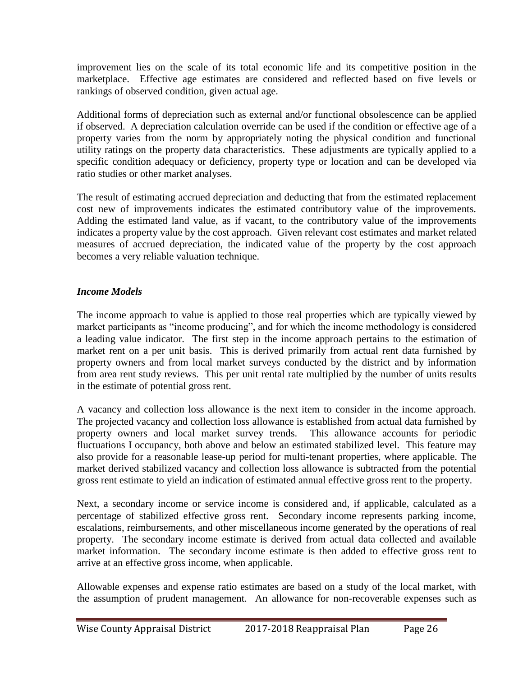improvement lies on the scale of its total economic life and its competitive position in the marketplace. Effective age estimates are considered and reflected based on five levels or rankings of observed condition, given actual age.

Additional forms of depreciation such as external and/or functional obsolescence can be applied if observed. A depreciation calculation override can be used if the condition or effective age of a property varies from the norm by appropriately noting the physical condition and functional utility ratings on the property data characteristics. These adjustments are typically applied to a specific condition adequacy or deficiency, property type or location and can be developed via ratio studies or other market analyses.

The result of estimating accrued depreciation and deducting that from the estimated replacement cost new of improvements indicates the estimated contributory value of the improvements. Adding the estimated land value, as if vacant, to the contributory value of the improvements indicates a property value by the cost approach. Given relevant cost estimates and market related measures of accrued depreciation, the indicated value of the property by the cost approach becomes a very reliable valuation technique.

# *Income Models*

The income approach to value is applied to those real properties which are typically viewed by market participants as "income producing", and for which the income methodology is considered a leading value indicator. The first step in the income approach pertains to the estimation of market rent on a per unit basis. This is derived primarily from actual rent data furnished by property owners and from local market surveys conducted by the district and by information from area rent study reviews. This per unit rental rate multiplied by the number of units results in the estimate of potential gross rent.

A vacancy and collection loss allowance is the next item to consider in the income approach. The projected vacancy and collection loss allowance is established from actual data furnished by property owners and local market survey trends. This allowance accounts for periodic fluctuations I occupancy, both above and below an estimated stabilized level. This feature may also provide for a reasonable lease-up period for multi-tenant properties, where applicable. The market derived stabilized vacancy and collection loss allowance is subtracted from the potential gross rent estimate to yield an indication of estimated annual effective gross rent to the property.

Next, a secondary income or service income is considered and, if applicable, calculated as a percentage of stabilized effective gross rent. Secondary income represents parking income, escalations, reimbursements, and other miscellaneous income generated by the operations of real property. The secondary income estimate is derived from actual data collected and available market information. The secondary income estimate is then added to effective gross rent to arrive at an effective gross income, when applicable.

Allowable expenses and expense ratio estimates are based on a study of the local market, with the assumption of prudent management. An allowance for non-recoverable expenses such as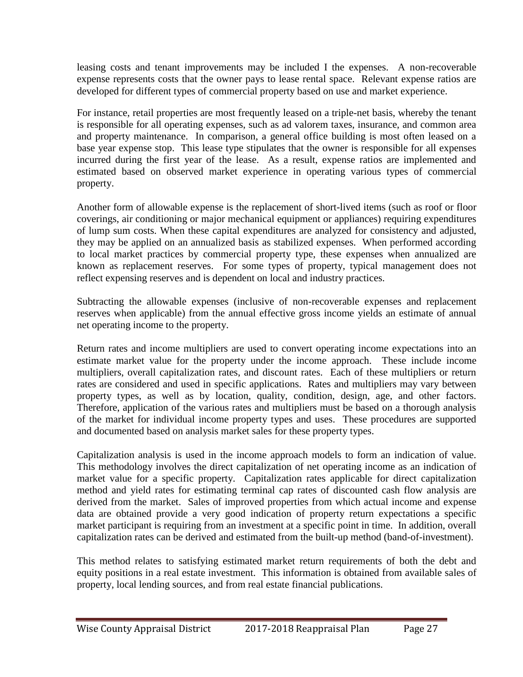leasing costs and tenant improvements may be included I the expenses. A non-recoverable expense represents costs that the owner pays to lease rental space. Relevant expense ratios are developed for different types of commercial property based on use and market experience.

For instance, retail properties are most frequently leased on a triple-net basis, whereby the tenant is responsible for all operating expenses, such as ad valorem taxes, insurance, and common area and property maintenance. In comparison, a general office building is most often leased on a base year expense stop. This lease type stipulates that the owner is responsible for all expenses incurred during the first year of the lease. As a result, expense ratios are implemented and estimated based on observed market experience in operating various types of commercial property.

Another form of allowable expense is the replacement of short-lived items (such as roof or floor coverings, air conditioning or major mechanical equipment or appliances) requiring expenditures of lump sum costs. When these capital expenditures are analyzed for consistency and adjusted, they may be applied on an annualized basis as stabilized expenses. When performed according to local market practices by commercial property type, these expenses when annualized are known as replacement reserves. For some types of property, typical management does not reflect expensing reserves and is dependent on local and industry practices.

Subtracting the allowable expenses (inclusive of non-recoverable expenses and replacement reserves when applicable) from the annual effective gross income yields an estimate of annual net operating income to the property.

Return rates and income multipliers are used to convert operating income expectations into an estimate market value for the property under the income approach. These include income multipliers, overall capitalization rates, and discount rates. Each of these multipliers or return rates are considered and used in specific applications. Rates and multipliers may vary between property types, as well as by location, quality, condition, design, age, and other factors. Therefore, application of the various rates and multipliers must be based on a thorough analysis of the market for individual income property types and uses. These procedures are supported and documented based on analysis market sales for these property types.

Capitalization analysis is used in the income approach models to form an indication of value. This methodology involves the direct capitalization of net operating income as an indication of market value for a specific property. Capitalization rates applicable for direct capitalization method and yield rates for estimating terminal cap rates of discounted cash flow analysis are derived from the market. Sales of improved properties from which actual income and expense data are obtained provide a very good indication of property return expectations a specific market participant is requiring from an investment at a specific point in time. In addition, overall capitalization rates can be derived and estimated from the built-up method (band-of-investment).

This method relates to satisfying estimated market return requirements of both the debt and equity positions in a real estate investment. This information is obtained from available sales of property, local lending sources, and from real estate financial publications.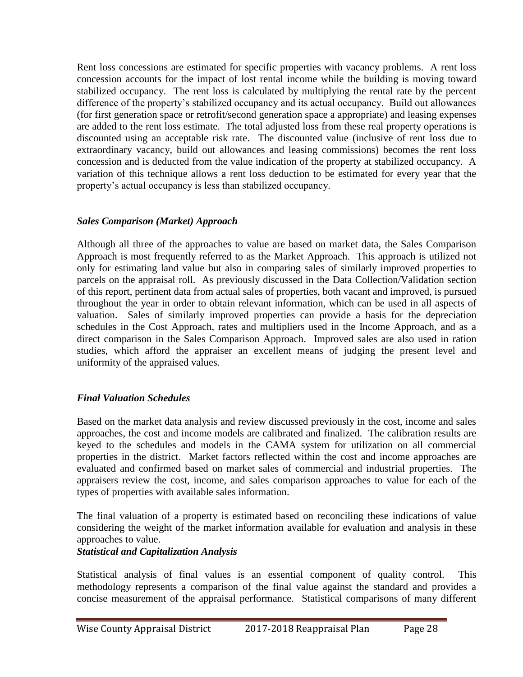Rent loss concessions are estimated for specific properties with vacancy problems. A rent loss concession accounts for the impact of lost rental income while the building is moving toward stabilized occupancy. The rent loss is calculated by multiplying the rental rate by the percent difference of the property's stabilized occupancy and its actual occupancy. Build out allowances (for first generation space or retrofit/second generation space a appropriate) and leasing expenses are added to the rent loss estimate. The total adjusted loss from these real property operations is discounted using an acceptable risk rate. The discounted value (inclusive of rent loss due to extraordinary vacancy, build out allowances and leasing commissions) becomes the rent loss concession and is deducted from the value indication of the property at stabilized occupancy. A variation of this technique allows a rent loss deduction to be estimated for every year that the property's actual occupancy is less than stabilized occupancy.

## *Sales Comparison (Market) Approach*

Although all three of the approaches to value are based on market data, the Sales Comparison Approach is most frequently referred to as the Market Approach. This approach is utilized not only for estimating land value but also in comparing sales of similarly improved properties to parcels on the appraisal roll. As previously discussed in the Data Collection/Validation section of this report, pertinent data from actual sales of properties, both vacant and improved, is pursued throughout the year in order to obtain relevant information, which can be used in all aspects of valuation. Sales of similarly improved properties can provide a basis for the depreciation schedules in the Cost Approach, rates and multipliers used in the Income Approach, and as a direct comparison in the Sales Comparison Approach. Improved sales are also used in ration studies, which afford the appraiser an excellent means of judging the present level and uniformity of the appraised values.

# *Final Valuation Schedules*

Based on the market data analysis and review discussed previously in the cost, income and sales approaches, the cost and income models are calibrated and finalized. The calibration results are keyed to the schedules and models in the CAMA system for utilization on all commercial properties in the district. Market factors reflected within the cost and income approaches are evaluated and confirmed based on market sales of commercial and industrial properties. The appraisers review the cost, income, and sales comparison approaches to value for each of the types of properties with available sales information.

The final valuation of a property is estimated based on reconciling these indications of value considering the weight of the market information available for evaluation and analysis in these approaches to value.

### *Statistical and Capitalization Analysis*

Statistical analysis of final values is an essential component of quality control. This methodology represents a comparison of the final value against the standard and provides a concise measurement of the appraisal performance. Statistical comparisons of many different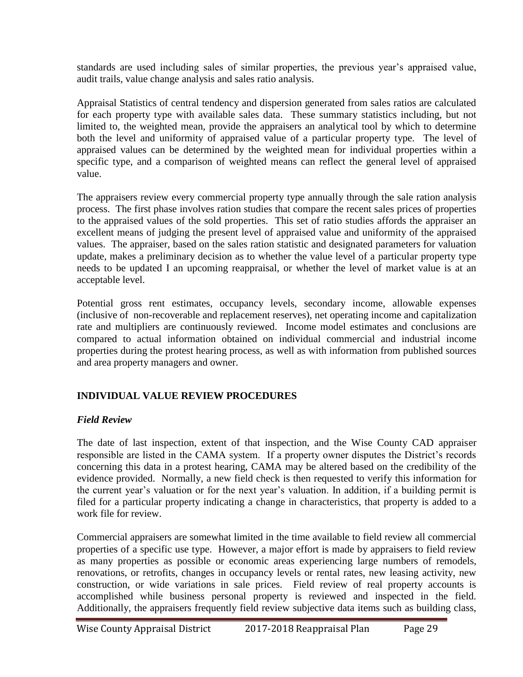standards are used including sales of similar properties, the previous year's appraised value, audit trails, value change analysis and sales ratio analysis.

Appraisal Statistics of central tendency and dispersion generated from sales ratios are calculated for each property type with available sales data. These summary statistics including, but not limited to, the weighted mean, provide the appraisers an analytical tool by which to determine both the level and uniformity of appraised value of a particular property type. The level of appraised values can be determined by the weighted mean for individual properties within a specific type, and a comparison of weighted means can reflect the general level of appraised value.

The appraisers review every commercial property type annually through the sale ration analysis process. The first phase involves ration studies that compare the recent sales prices of properties to the appraised values of the sold properties. This set of ratio studies affords the appraiser an excellent means of judging the present level of appraised value and uniformity of the appraised values. The appraiser, based on the sales ration statistic and designated parameters for valuation update, makes a preliminary decision as to whether the value level of a particular property type needs to be updated I an upcoming reappraisal, or whether the level of market value is at an acceptable level.

Potential gross rent estimates, occupancy levels, secondary income, allowable expenses (inclusive of non-recoverable and replacement reserves), net operating income and capitalization rate and multipliers are continuously reviewed. Income model estimates and conclusions are compared to actual information obtained on individual commercial and industrial income properties during the protest hearing process, as well as with information from published sources and area property managers and owner.

# **INDIVIDUAL VALUE REVIEW PROCEDURES**

# *Field Review*

The date of last inspection, extent of that inspection, and the Wise County CAD appraiser responsible are listed in the CAMA system. If a property owner disputes the District's records concerning this data in a protest hearing, CAMA may be altered based on the credibility of the evidence provided. Normally, a new field check is then requested to verify this information for the current year's valuation or for the next year's valuation. In addition, if a building permit is filed for a particular property indicating a change in characteristics, that property is added to a work file for review.

Commercial appraisers are somewhat limited in the time available to field review all commercial properties of a specific use type. However, a major effort is made by appraisers to field review as many properties as possible or economic areas experiencing large numbers of remodels, renovations, or retrofits, changes in occupancy levels or rental rates, new leasing activity, new construction, or wide variations in sale prices. Field review of real property accounts is accomplished while business personal property is reviewed and inspected in the field. Additionally, the appraisers frequently field review subjective data items such as building class,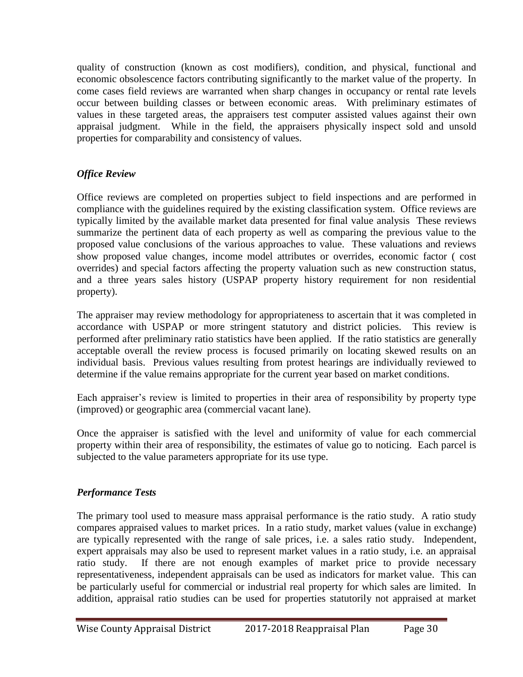quality of construction (known as cost modifiers), condition, and physical, functional and economic obsolescence factors contributing significantly to the market value of the property. In come cases field reviews are warranted when sharp changes in occupancy or rental rate levels occur between building classes or between economic areas. With preliminary estimates of values in these targeted areas, the appraisers test computer assisted values against their own appraisal judgment. While in the field, the appraisers physically inspect sold and unsold properties for comparability and consistency of values.

# *Office Review*

Office reviews are completed on properties subject to field inspections and are performed in compliance with the guidelines required by the existing classification system. Office reviews are typically limited by the available market data presented for final value analysis These reviews summarize the pertinent data of each property as well as comparing the previous value to the proposed value conclusions of the various approaches to value. These valuations and reviews show proposed value changes, income model attributes or overrides, economic factor ( cost overrides) and special factors affecting the property valuation such as new construction status, and a three years sales history (USPAP property history requirement for non residential property).

The appraiser may review methodology for appropriateness to ascertain that it was completed in accordance with USPAP or more stringent statutory and district policies. This review is performed after preliminary ratio statistics have been applied. If the ratio statistics are generally acceptable overall the review process is focused primarily on locating skewed results on an individual basis. Previous values resulting from protest hearings are individually reviewed to determine if the value remains appropriate for the current year based on market conditions.

Each appraiser's review is limited to properties in their area of responsibility by property type (improved) or geographic area (commercial vacant lane).

Once the appraiser is satisfied with the level and uniformity of value for each commercial property within their area of responsibility, the estimates of value go to noticing. Each parcel is subjected to the value parameters appropriate for its use type.

# *Performance Tests*

The primary tool used to measure mass appraisal performance is the ratio study. A ratio study compares appraised values to market prices. In a ratio study, market values (value in exchange) are typically represented with the range of sale prices, i.e. a sales ratio study. Independent, expert appraisals may also be used to represent market values in a ratio study, i.e. an appraisal ratio study. If there are not enough examples of market price to provide necessary representativeness, independent appraisals can be used as indicators for market value. This can be particularly useful for commercial or industrial real property for which sales are limited. In addition, appraisal ratio studies can be used for properties statutorily not appraised at market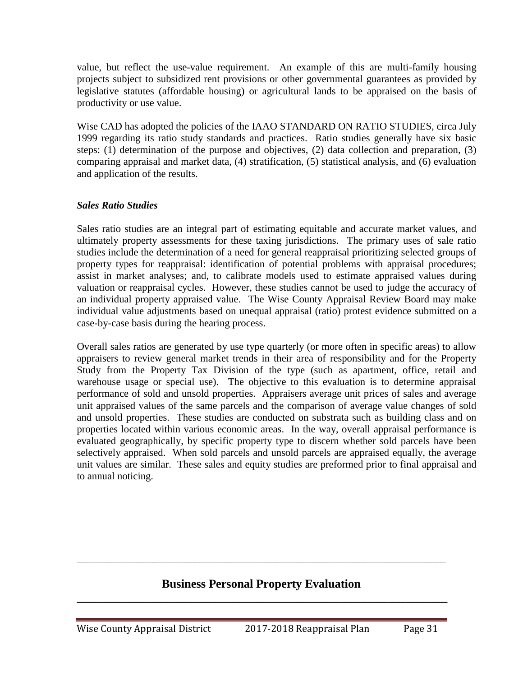value, but reflect the use-value requirement. An example of this are multi-family housing projects subject to subsidized rent provisions or other governmental guarantees as provided by legislative statutes (affordable housing) or agricultural lands to be appraised on the basis of productivity or use value.

Wise CAD has adopted the policies of the IAAO STANDARD ON RATIO STUDIES, circa July 1999 regarding its ratio study standards and practices. Ratio studies generally have six basic steps: (1) determination of the purpose and objectives, (2) data collection and preparation, (3) comparing appraisal and market data, (4) stratification, (5) statistical analysis, and (6) evaluation and application of the results.

### *Sales Ratio Studies*

Sales ratio studies are an integral part of estimating equitable and accurate market values, and ultimately property assessments for these taxing jurisdictions. The primary uses of sale ratio studies include the determination of a need for general reappraisal prioritizing selected groups of property types for reappraisal: identification of potential problems with appraisal procedures; assist in market analyses; and, to calibrate models used to estimate appraised values during valuation or reappraisal cycles. However, these studies cannot be used to judge the accuracy of an individual property appraised value. The Wise County Appraisal Review Board may make individual value adjustments based on unequal appraisal (ratio) protest evidence submitted on a case-by-case basis during the hearing process.

Overall sales ratios are generated by use type quarterly (or more often in specific areas) to allow appraisers to review general market trends in their area of responsibility and for the Property Study from the Property Tax Division of the type (such as apartment, office, retail and warehouse usage or special use). The objective to this evaluation is to determine appraisal performance of sold and unsold properties. Appraisers average unit prices of sales and average unit appraised values of the same parcels and the comparison of average value changes of sold and unsold properties. These studies are conducted on substrata such as building class and on properties located within various economic areas. In the way, overall appraisal performance is evaluated geographically, by specific property type to discern whether sold parcels have been selectively appraised. When sold parcels and unsold parcels are appraised equally, the average unit values are similar. These sales and equity studies are preformed prior to final appraisal and to annual noticing.

# **Business Personal Property Evaluation \_\_\_\_\_\_\_\_\_\_\_\_\_\_\_\_\_\_\_\_\_\_\_\_\_\_\_\_\_\_\_\_\_\_\_\_\_\_\_\_\_\_\_\_\_\_\_\_\_\_\_\_\_\_\_\_\_\_\_\_\_\_**

\_\_\_\_\_\_\_\_\_\_\_\_\_\_\_\_\_\_\_\_\_\_\_\_\_\_\_\_\_\_\_\_\_\_\_\_\_\_\_\_\_\_\_\_\_\_\_\_\_\_\_\_\_\_\_\_\_\_\_\_\_\_\_\_\_\_\_\_\_\_\_\_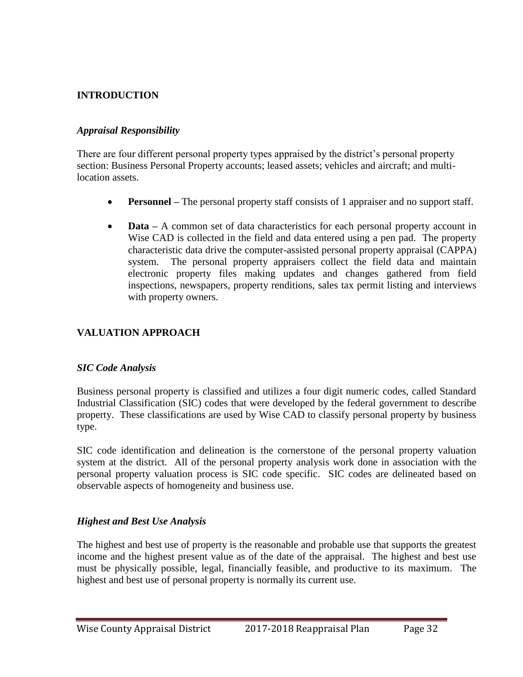### **INTRODUCTION**

#### *Appraisal Responsibility*

There are four different personal property types appraised by the district's personal property section: Business Personal Property accounts; leased assets; vehicles and aircraft; and multilocation assets.

- **Personnel** The personal property staff consists of 1 appraiser and no support staff.
- **Data** A common set of data characteristics for each personal property account in Wise CAD is collected in the field and data entered using a pen pad. The property characteristic data drive the computer-assisted personal property appraisal (CAPPA) system. The personal property appraisers collect the field data and maintain electronic property files making updates and changes gathered from field inspections, newspapers, property renditions, sales tax permit listing and interviews with property owners.

### **VALUATION APPROACH**

#### *SIC Code Analysis*

Business personal property is classified and utilizes a four digit numeric codes, called Standard Industrial Classification (SIC) codes that were developed by the federal government to describe property. These classifications are used by Wise CAD to classify personal property by business type.

SIC code identification and delineation is the cornerstone of the personal property valuation system at the district. All of the personal property analysis work done in association with the personal property valuation process is SIC code specific. SIC codes are delineated based on observable aspects of homogeneity and business use.

### *Highest and Best Use Analysis*

The highest and best use of property is the reasonable and probable use that supports the greatest income and the highest present value as of the date of the appraisal. The highest and best use must be physically possible, legal, financially feasible, and productive to its maximum. The highest and best use of personal property is normally its current use.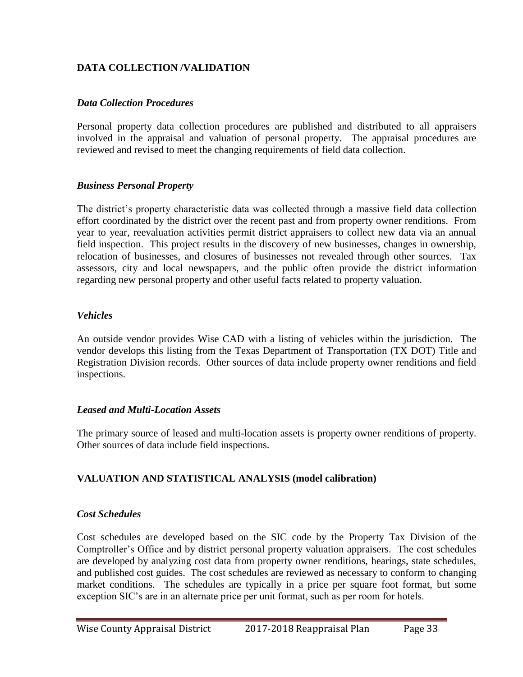## **DATA COLLECTION /VALIDATION**

#### *Data Collection Procedures*

Personal property data collection procedures are published and distributed to all appraisers involved in the appraisal and valuation of personal property. The appraisal procedures are reviewed and revised to meet the changing requirements of field data collection.

#### *Business Personal Property*

The district's property characteristic data was collected through a massive field data collection effort coordinated by the district over the recent past and from property owner renditions. From year to year, reevaluation activities permit district appraisers to collect new data via an annual field inspection. This project results in the discovery of new businesses, changes in ownership, relocation of businesses, and closures of businesses not revealed through other sources. Tax assessors, city and local newspapers, and the public often provide the district information regarding new personal property and other useful facts related to property valuation.

#### *Vehicles*

An outside vendor provides Wise CAD with a listing of vehicles within the jurisdiction. The vendor develops this listing from the Texas Department of Transportation (TX DOT) Title and Registration Division records. Other sources of data include property owner renditions and field inspections.

#### *Leased and Multi-Location Assets*

The primary source of leased and multi-location assets is property owner renditions of property. Other sources of data include field inspections.

### **VALUATION AND STATISTICAL ANALYSIS (model calibration)**

#### *Cost Schedules*

Cost schedules are developed based on the SIC code by the Property Tax Division of the Comptroller's Office and by district personal property valuation appraisers. The cost schedules are developed by analyzing cost data from property owner renditions, hearings, state schedules, and published cost guides. The cost schedules are reviewed as necessary to conform to changing market conditions. The schedules are typically in a price per square foot format, but some exception SIC's are in an alternate price per unit format, such as per room for hotels.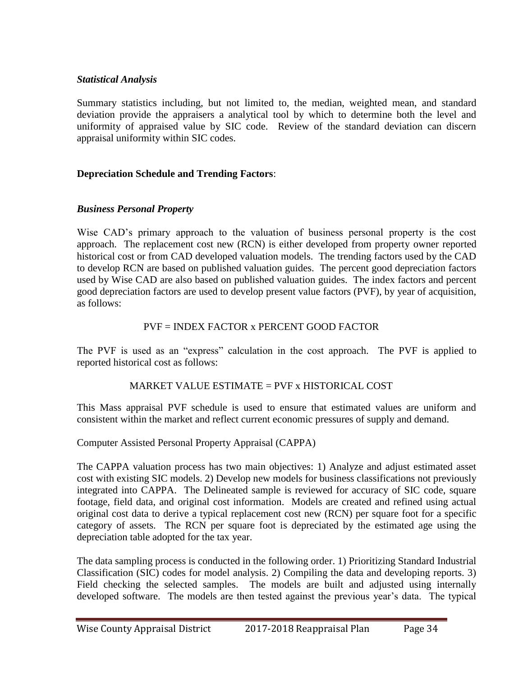### *Statistical Analysis*

Summary statistics including, but not limited to, the median, weighted mean, and standard deviation provide the appraisers a analytical tool by which to determine both the level and uniformity of appraised value by SIC code. Review of the standard deviation can discern appraisal uniformity within SIC codes.

# **Depreciation Schedule and Trending Factors**:

# *Business Personal Property*

Wise CAD's primary approach to the valuation of business personal property is the cost approach. The replacement cost new (RCN) is either developed from property owner reported historical cost or from CAD developed valuation models. The trending factors used by the CAD to develop RCN are based on published valuation guides. The percent good depreciation factors used by Wise CAD are also based on published valuation guides. The index factors and percent good depreciation factors are used to develop present value factors (PVF), by year of acquisition, as follows:

# PVF = INDEX FACTOR x PERCENT GOOD FACTOR

The PVF is used as an "express" calculation in the cost approach. The PVF is applied to reported historical cost as follows:

# MARKET VALUE ESTIMATE = PVF x HISTORICAL COST

This Mass appraisal PVF schedule is used to ensure that estimated values are uniform and consistent within the market and reflect current economic pressures of supply and demand.

### Computer Assisted Personal Property Appraisal (CAPPA)

The CAPPA valuation process has two main objectives: 1) Analyze and adjust estimated asset cost with existing SIC models. 2) Develop new models for business classifications not previously integrated into CAPPA. The Delineated sample is reviewed for accuracy of SIC code, square footage, field data, and original cost information. Models are created and refined using actual original cost data to derive a typical replacement cost new (RCN) per square foot for a specific category of assets. The RCN per square foot is depreciated by the estimated age using the depreciation table adopted for the tax year.

The data sampling process is conducted in the following order. 1) Prioritizing Standard Industrial Classification (SIC) codes for model analysis. 2) Compiling the data and developing reports. 3) Field checking the selected samples. The models are built and adjusted using internally developed software. The models are then tested against the previous year's data. The typical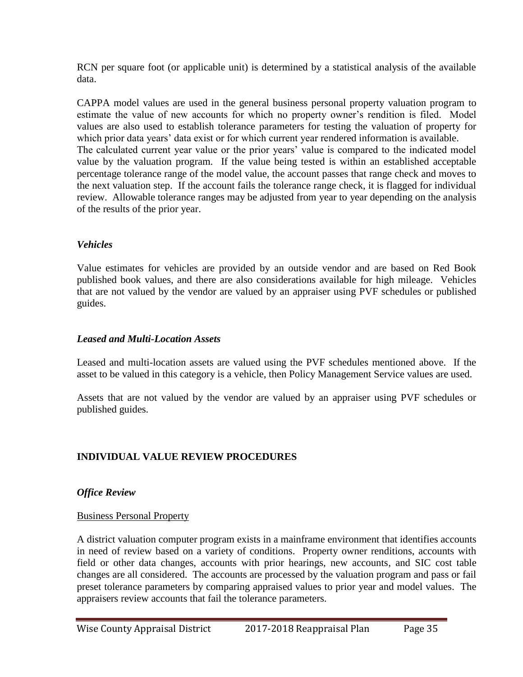RCN per square foot (or applicable unit) is determined by a statistical analysis of the available data.

CAPPA model values are used in the general business personal property valuation program to estimate the value of new accounts for which no property owner's rendition is filed. Model values are also used to establish tolerance parameters for testing the valuation of property for which prior data years' data exist or for which current year rendered information is available. The calculated current year value or the prior years' value is compared to the indicated model value by the valuation program. If the value being tested is within an established acceptable percentage tolerance range of the model value, the account passes that range check and moves to the next valuation step. If the account fails the tolerance range check, it is flagged for individual review. Allowable tolerance ranges may be adjusted from year to year depending on the analysis of the results of the prior year.

## *Vehicles*

Value estimates for vehicles are provided by an outside vendor and are based on Red Book published book values, and there are also considerations available for high mileage. Vehicles that are not valued by the vendor are valued by an appraiser using PVF schedules or published guides.

### *Leased and Multi-Location Assets*

Leased and multi-location assets are valued using the PVF schedules mentioned above. If the asset to be valued in this category is a vehicle, then Policy Management Service values are used.

Assets that are not valued by the vendor are valued by an appraiser using PVF schedules or published guides.

# **INDIVIDUAL VALUE REVIEW PROCEDURES**

### *Office Review*

### Business Personal Property

A district valuation computer program exists in a mainframe environment that identifies accounts in need of review based on a variety of conditions. Property owner renditions, accounts with field or other data changes, accounts with prior hearings, new accounts, and SIC cost table changes are all considered. The accounts are processed by the valuation program and pass or fail preset tolerance parameters by comparing appraised values to prior year and model values. The appraisers review accounts that fail the tolerance parameters.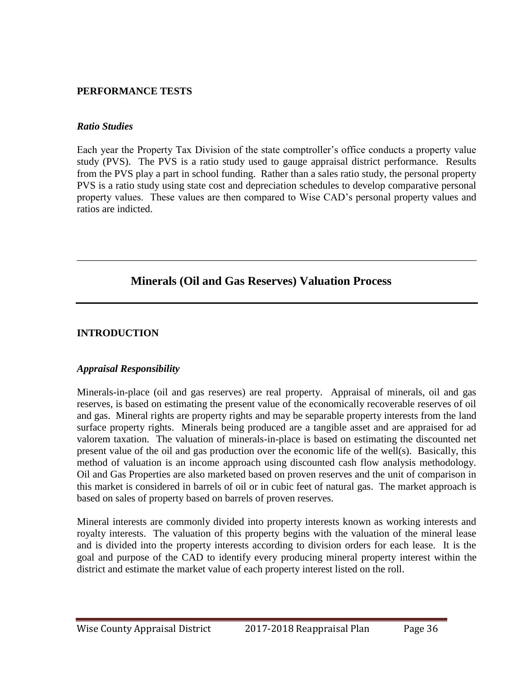#### **PERFORMANCE TESTS**

#### *Ratio Studies*

Each year the Property Tax Division of the state comptroller's office conducts a property value study (PVS). The PVS is a ratio study used to gauge appraisal district performance. Results from the PVS play a part in school funding. Rather than a sales ratio study, the personal property PVS is a ratio study using state cost and depreciation schedules to develop comparative personal property values. These values are then compared to Wise CAD's personal property values and ratios are indicted.

\_\_\_\_\_\_\_\_\_\_\_\_\_\_\_\_\_\_\_\_\_\_\_\_\_\_\_\_\_\_\_\_\_\_\_\_\_\_\_\_\_\_\_\_\_\_\_\_\_\_\_\_\_\_\_\_\_\_\_\_\_\_\_\_\_\_\_\_\_\_\_\_\_\_\_\_\_\_

# **Minerals (Oil and Gas Reserves) Valuation Process**

#### **INTRODUCTION**

#### *Appraisal Responsibility*

Minerals-in-place (oil and gas reserves) are real property. Appraisal of minerals, oil and gas reserves, is based on estimating the present value of the economically recoverable reserves of oil and gas. Mineral rights are property rights and may be separable property interests from the land surface property rights. Minerals being produced are a tangible asset and are appraised for ad valorem taxation. The valuation of minerals-in-place is based on estimating the discounted net present value of the oil and gas production over the economic life of the well(s). Basically, this method of valuation is an income approach using discounted cash flow analysis methodology. Oil and Gas Properties are also marketed based on proven reserves and the unit of comparison in this market is considered in barrels of oil or in cubic feet of natural gas. The market approach is based on sales of property based on barrels of proven reserves.

Mineral interests are commonly divided into property interests known as working interests and royalty interests. The valuation of this property begins with the valuation of the mineral lease and is divided into the property interests according to division orders for each lease. It is the goal and purpose of the CAD to identify every producing mineral property interest within the district and estimate the market value of each property interest listed on the roll.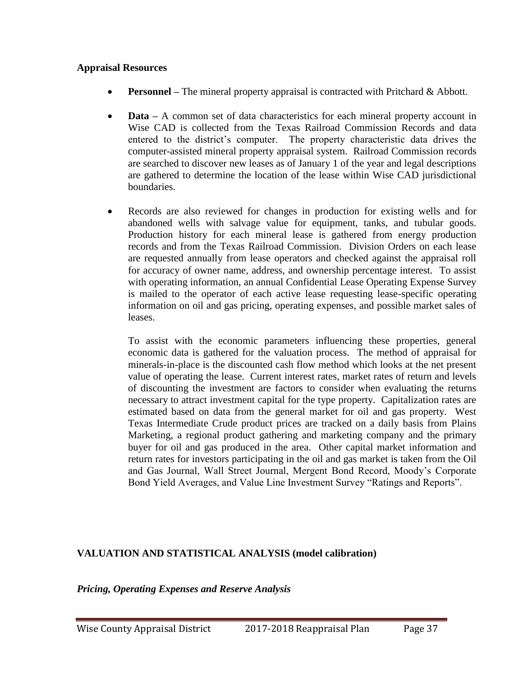#### **Appraisal Resources**

- **Personnel** The mineral property appraisal is contracted with Pritchard & Abbott.
- **Data** A common set of data characteristics for each mineral property account in Wise CAD is collected from the Texas Railroad Commission Records and data entered to the district's computer. The property characteristic data drives the computer-assisted mineral property appraisal system. Railroad Commission records are searched to discover new leases as of January 1 of the year and legal descriptions are gathered to determine the location of the lease within Wise CAD jurisdictional boundaries.
- Records are also reviewed for changes in production for existing wells and for abandoned wells with salvage value for equipment, tanks, and tubular goods. Production history for each mineral lease is gathered from energy production records and from the Texas Railroad Commission. Division Orders on each lease are requested annually from lease operators and checked against the appraisal roll for accuracy of owner name, address, and ownership percentage interest. To assist with operating information, an annual Confidential Lease Operating Expense Survey is mailed to the operator of each active lease requesting lease-specific operating information on oil and gas pricing, operating expenses, and possible market sales of leases.

To assist with the economic parameters influencing these properties, general economic data is gathered for the valuation process. The method of appraisal for minerals-in-place is the discounted cash flow method which looks at the net present value of operating the lease. Current interest rates, market rates of return and levels of discounting the investment are factors to consider when evaluating the returns necessary to attract investment capital for the type property. Capitalization rates are estimated based on data from the general market for oil and gas property. West Texas Intermediate Crude product prices are tracked on a daily basis from Plains Marketing, a regional product gathering and marketing company and the primary buyer for oil and gas produced in the area. Other capital market information and return rates for investors participating in the oil and gas market is taken from the Oil and Gas Journal, Wall Street Journal, Mergent Bond Record, Moody's Corporate Bond Yield Averages, and Value Line Investment Survey "Ratings and Reports".

# **VALUATION AND STATISTICAL ANALYSIS (model calibration)**

*Pricing, Operating Expenses and Reserve Analysis*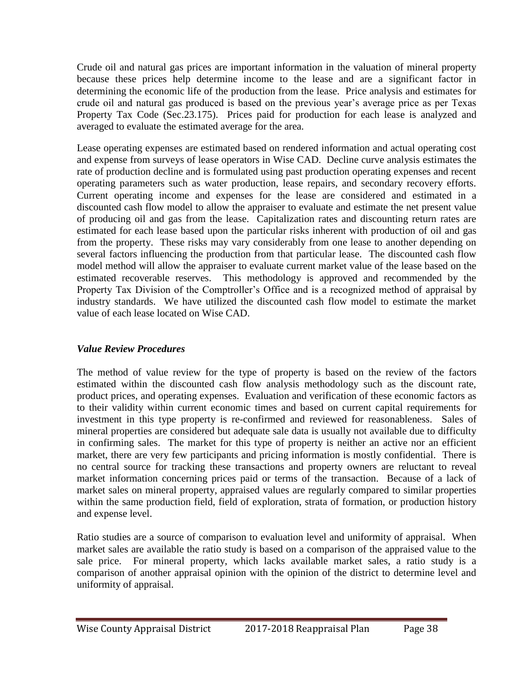Crude oil and natural gas prices are important information in the valuation of mineral property because these prices help determine income to the lease and are a significant factor in determining the economic life of the production from the lease. Price analysis and estimates for crude oil and natural gas produced is based on the previous year's average price as per Texas Property Tax Code (Sec.23.175). Prices paid for production for each lease is analyzed and averaged to evaluate the estimated average for the area.

Lease operating expenses are estimated based on rendered information and actual operating cost and expense from surveys of lease operators in Wise CAD. Decline curve analysis estimates the rate of production decline and is formulated using past production operating expenses and recent operating parameters such as water production, lease repairs, and secondary recovery efforts. Current operating income and expenses for the lease are considered and estimated in a discounted cash flow model to allow the appraiser to evaluate and estimate the net present value of producing oil and gas from the lease. Capitalization rates and discounting return rates are estimated for each lease based upon the particular risks inherent with production of oil and gas from the property. These risks may vary considerably from one lease to another depending on several factors influencing the production from that particular lease. The discounted cash flow model method will allow the appraiser to evaluate current market value of the lease based on the estimated recoverable reserves. This methodology is approved and recommended by the Property Tax Division of the Comptroller's Office and is a recognized method of appraisal by industry standards. We have utilized the discounted cash flow model to estimate the market value of each lease located on Wise CAD.

# *Value Review Procedures*

The method of value review for the type of property is based on the review of the factors estimated within the discounted cash flow analysis methodology such as the discount rate, product prices, and operating expenses. Evaluation and verification of these economic factors as to their validity within current economic times and based on current capital requirements for investment in this type property is re-confirmed and reviewed for reasonableness. Sales of mineral properties are considered but adequate sale data is usually not available due to difficulty in confirming sales. The market for this type of property is neither an active nor an efficient market, there are very few participants and pricing information is mostly confidential. There is no central source for tracking these transactions and property owners are reluctant to reveal market information concerning prices paid or terms of the transaction. Because of a lack of market sales on mineral property, appraised values are regularly compared to similar properties within the same production field, field of exploration, strata of formation, or production history and expense level.

Ratio studies are a source of comparison to evaluation level and uniformity of appraisal. When market sales are available the ratio study is based on a comparison of the appraised value to the sale price. For mineral property, which lacks available market sales, a ratio study is a comparison of another appraisal opinion with the opinion of the district to determine level and uniformity of appraisal.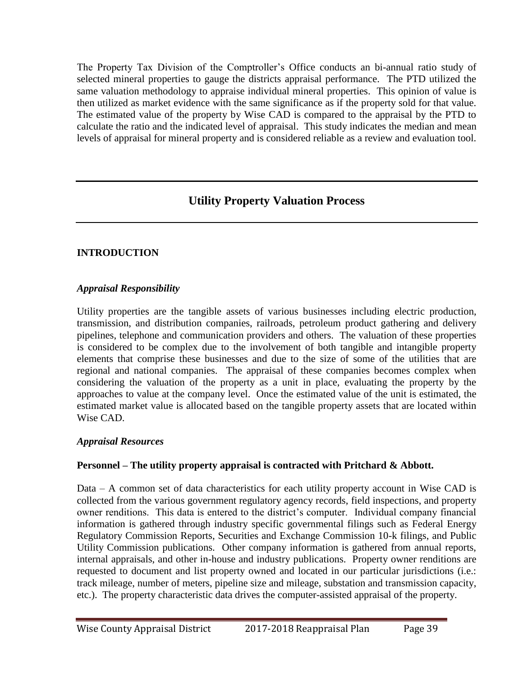The Property Tax Division of the Comptroller's Office conducts an bi-annual ratio study of selected mineral properties to gauge the districts appraisal performance. The PTD utilized the same valuation methodology to appraise individual mineral properties. This opinion of value is then utilized as market evidence with the same significance as if the property sold for that value. The estimated value of the property by Wise CAD is compared to the appraisal by the PTD to calculate the ratio and the indicated level of appraisal. This study indicates the median and mean levels of appraisal for mineral property and is considered reliable as a review and evaluation tool.

# **Utility Property Valuation Process**

# **INTRODUCTION**

### *Appraisal Responsibility*

Utility properties are the tangible assets of various businesses including electric production, transmission, and distribution companies, railroads, petroleum product gathering and delivery pipelines, telephone and communication providers and others. The valuation of these properties is considered to be complex due to the involvement of both tangible and intangible property elements that comprise these businesses and due to the size of some of the utilities that are regional and national companies. The appraisal of these companies becomes complex when considering the valuation of the property as a unit in place, evaluating the property by the approaches to value at the company level. Once the estimated value of the unit is estimated, the estimated market value is allocated based on the tangible property assets that are located within Wise CAD.

### *Appraisal Resources*

# **Personnel – The utility property appraisal is contracted with Pritchard & Abbott.**

Data – A common set of data characteristics for each utility property account in Wise CAD is collected from the various government regulatory agency records, field inspections, and property owner renditions. This data is entered to the district's computer. Individual company financial information is gathered through industry specific governmental filings such as Federal Energy Regulatory Commission Reports, Securities and Exchange Commission 10-k filings, and Public Utility Commission publications. Other company information is gathered from annual reports, internal appraisals, and other in-house and industry publications. Property owner renditions are requested to document and list property owned and located in our particular jurisdictions (i.e.: track mileage, number of meters, pipeline size and mileage, substation and transmission capacity, etc.). The property characteristic data drives the computer-assisted appraisal of the property.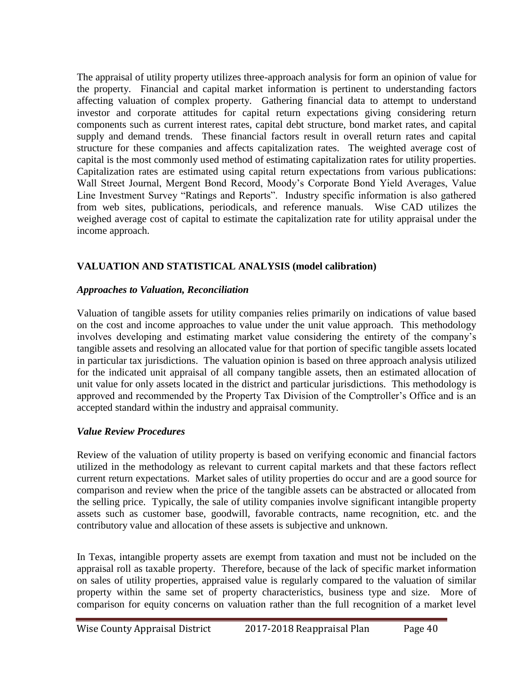The appraisal of utility property utilizes three-approach analysis for form an opinion of value for the property. Financial and capital market information is pertinent to understanding factors affecting valuation of complex property. Gathering financial data to attempt to understand investor and corporate attitudes for capital return expectations giving considering return components such as current interest rates, capital debt structure, bond market rates, and capital supply and demand trends. These financial factors result in overall return rates and capital structure for these companies and affects capitalization rates. The weighted average cost of capital is the most commonly used method of estimating capitalization rates for utility properties. Capitalization rates are estimated using capital return expectations from various publications: Wall Street Journal, Mergent Bond Record, Moody's Corporate Bond Yield Averages, Value Line Investment Survey "Ratings and Reports". Industry specific information is also gathered from web sites, publications, periodicals, and reference manuals. Wise CAD utilizes the weighed average cost of capital to estimate the capitalization rate for utility appraisal under the income approach.

# **VALUATION AND STATISTICAL ANALYSIS (model calibration)**

### *Approaches to Valuation, Reconciliation*

Valuation of tangible assets for utility companies relies primarily on indications of value based on the cost and income approaches to value under the unit value approach. This methodology involves developing and estimating market value considering the entirety of the company's tangible assets and resolving an allocated value for that portion of specific tangible assets located in particular tax jurisdictions. The valuation opinion is based on three approach analysis utilized for the indicated unit appraisal of all company tangible assets, then an estimated allocation of unit value for only assets located in the district and particular jurisdictions. This methodology is approved and recommended by the Property Tax Division of the Comptroller's Office and is an accepted standard within the industry and appraisal community.

# *Value Review Procedures*

Review of the valuation of utility property is based on verifying economic and financial factors utilized in the methodology as relevant to current capital markets and that these factors reflect current return expectations. Market sales of utility properties do occur and are a good source for comparison and review when the price of the tangible assets can be abstracted or allocated from the selling price. Typically, the sale of utility companies involve significant intangible property assets such as customer base, goodwill, favorable contracts, name recognition, etc. and the contributory value and allocation of these assets is subjective and unknown.

In Texas, intangible property assets are exempt from taxation and must not be included on the appraisal roll as taxable property. Therefore, because of the lack of specific market information on sales of utility properties, appraised value is regularly compared to the valuation of similar property within the same set of property characteristics, business type and size. More of comparison for equity concerns on valuation rather than the full recognition of a market level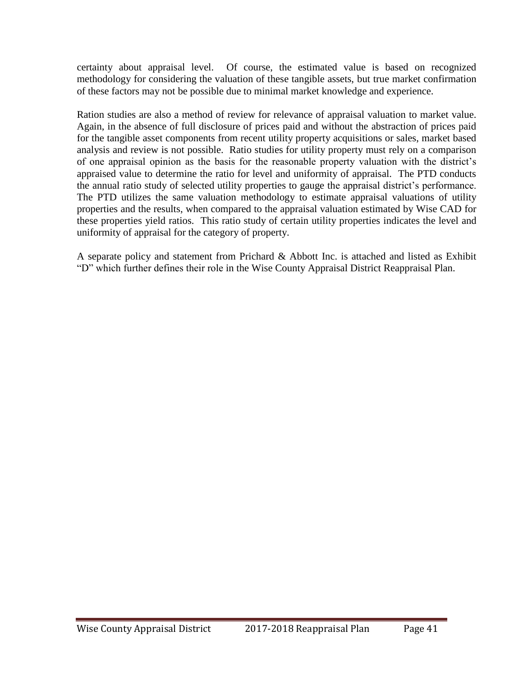certainty about appraisal level. Of course, the estimated value is based on recognized methodology for considering the valuation of these tangible assets, but true market confirmation of these factors may not be possible due to minimal market knowledge and experience.

Ration studies are also a method of review for relevance of appraisal valuation to market value. Again, in the absence of full disclosure of prices paid and without the abstraction of prices paid for the tangible asset components from recent utility property acquisitions or sales, market based analysis and review is not possible. Ratio studies for utility property must rely on a comparison of one appraisal opinion as the basis for the reasonable property valuation with the district's appraised value to determine the ratio for level and uniformity of appraisal. The PTD conducts the annual ratio study of selected utility properties to gauge the appraisal district's performance. The PTD utilizes the same valuation methodology to estimate appraisal valuations of utility properties and the results, when compared to the appraisal valuation estimated by Wise CAD for these properties yield ratios. This ratio study of certain utility properties indicates the level and uniformity of appraisal for the category of property.

A separate policy and statement from Prichard & Abbott Inc. is attached and listed as Exhibit "D" which further defines their role in the Wise County Appraisal District Reappraisal Plan.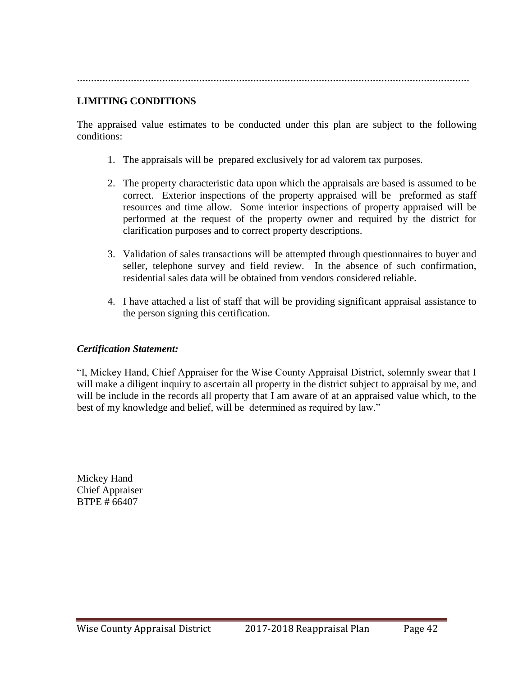**…………………………………………………………………………………………………………………………**

## **LIMITING CONDITIONS**

The appraised value estimates to be conducted under this plan are subject to the following conditions:

- 1. The appraisals will be prepared exclusively for ad valorem tax purposes.
- 2. The property characteristic data upon which the appraisals are based is assumed to be correct. Exterior inspections of the property appraised will be preformed as staff resources and time allow. Some interior inspections of property appraised will be performed at the request of the property owner and required by the district for clarification purposes and to correct property descriptions.
- 3. Validation of sales transactions will be attempted through questionnaires to buyer and seller, telephone survey and field review. In the absence of such confirmation, residential sales data will be obtained from vendors considered reliable.
- 4. I have attached a list of staff that will be providing significant appraisal assistance to the person signing this certification.

#### *Certification Statement:*

"I, Mickey Hand, Chief Appraiser for the Wise County Appraisal District, solemnly swear that I will make a diligent inquiry to ascertain all property in the district subject to appraisal by me, and will be include in the records all property that I am aware of at an appraised value which, to the best of my knowledge and belief, will be determined as required by law."

Mickey Hand Chief Appraiser BTPE # 66407